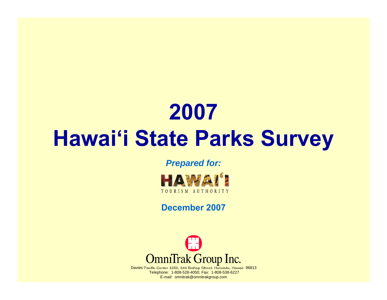# **2007 Hawai'i State Parks Survey**

#### *Prepared for:*



#### **December 2007**



Davies Pacific Center 1250, 841 Bishop Street, Honolulu, Hawaii 96813 Telephone: 1-808-528-4050; Fax: 1-808-538-6227 E-mail: omnitrak@omnitrakgroup.com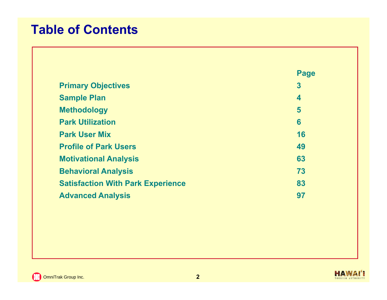#### **Table of Contents**

|                                          | Page |
|------------------------------------------|------|
| <b>Primary Objectives</b>                | 3    |
| <b>Sample Plan</b>                       | 4    |
| <b>Methodology</b>                       | 5    |
| <b>Park Utilization</b>                  | 6    |
| <b>Park User Mix</b>                     | 16   |
| <b>Profile of Park Users</b>             | 49   |
| <b>Motivational Analysis</b>             | 63   |
| <b>Behavioral Analysis</b>               | 73   |
| <b>Satisfaction With Park Experience</b> | 83   |
| <b>Advanced Analysis</b>                 | 97   |

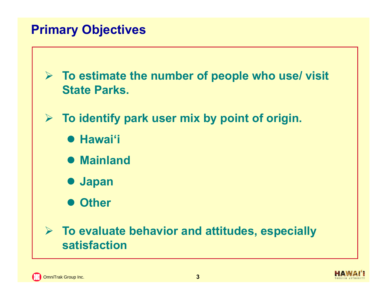#### **Primary Objectives**

 **To estimate the number of people who use/ visit State Parks.**

- **To identify park user mix by point of origin.**
	- **Hawai'i**
	- **Mainland**
	- **Japan**
	- **Other**

#### **To evaluate behavior and attitudes, especially satisfaction**

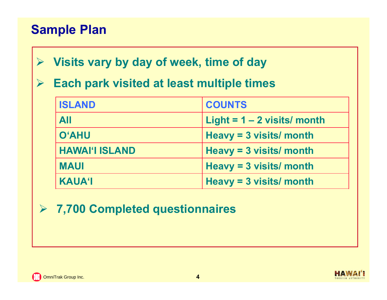#### **Sample Plan**

- $\blacktriangleright$ **Visits vary by day of week, time of day**
- $\blacktriangleright$ **Each park visited at least multiple times**

| <b>ISLAND</b>         | <b>COUNTS</b>                 |
|-----------------------|-------------------------------|
| <b>All</b>            | Light = $1 - 2$ visits/ month |
| <b>O'AHU</b>          | Heavy = $3$ visits/ month     |
| <b>HAWAI'I ISLAND</b> | Heavy = $3$ visits/ month     |
| <b>MAUI</b>           | Heavy = $3$ visits/ month     |
| <b>KAUA'I</b>         | Heavy = $3$ visits/ month     |

**7,700 Completed questionnaires**

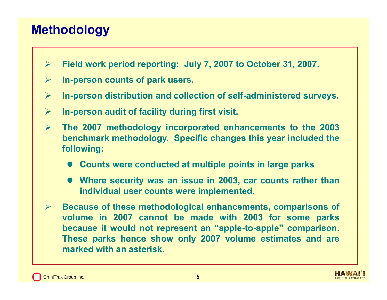#### **Methodology**

- $\blacktriangleright$ **Field work period reporting: July 7, 2007 to October 31, 2007.**
- $\blacktriangleright$ **In-person counts of park users.**
- $\blacktriangleright$ **In-person distribution and collection of self-administered surveys.**
- $\blacktriangleright$ **In-person audit of facility during first visit.**
- $\blacktriangleright$  **The 2007 methodology incorporated enhancements to the 2003 benchmark methodology. Specific changes this year included the following:**
	- **Counts were conducted at multiple points in large parks**
	- **Where security was an issue in 2003, car counts rather than individual user counts were implemented.**
- $\blacktriangleright$  **Because of these methodological enhancements, comparisons of volume in 2007 cannot be made with 2003 for some parks because it would not represent an "apple-to-apple" comparison. These parks hence show only 2007 volume estimates and are marked with an asterisk.**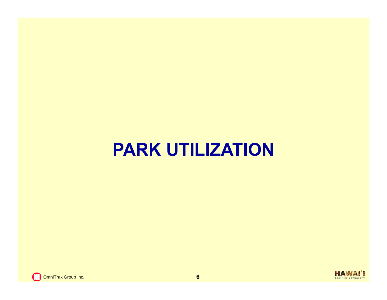## **PARK UTILIZATION**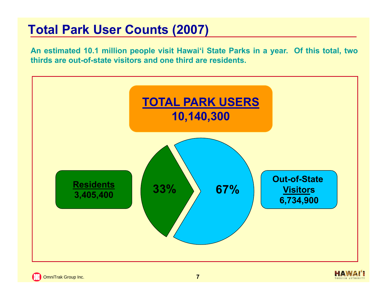#### **Total Park User Counts (2007)**

An estimated 10.1 million people visit Hawai'i State Parks in a year. Of this total, two **thirds are out-of-state visitors and one third are residents.**



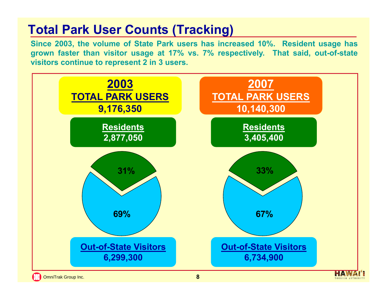#### **Total Park User Counts (Tracking)**

Since 2003, the volume of State Park users has increased 10%. Resident usage has grown faster than visitor usage at 17% vs. 7% respectively. That said, out-of-state **visitors continue to represent 2 in 3 users.**

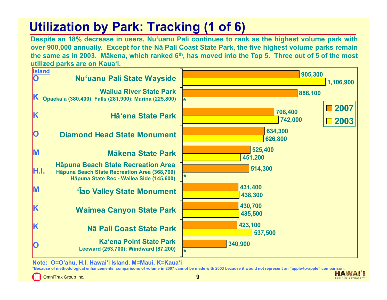### **Utilization by Park: Tracking (1 of 6)**

Despite an 18% decrease in users, Nu'uanu Pali continues to rank as the highest volume park with over 900,000 annually. Except for the Na Pali Coast State Park, the five highest volume parks remain the same as in 2003. Mākena, which ranked 6<sup>th</sup>, has moved into the Top 5. Three out of 5 of the most **utilized parks are on Kaua'i.**



**Note: O=O'ahu, H.I. Hawai'i Island, M=Maui, K=Kaua'i**

**\*Because of methodological enhancements, comparisons of volume in 2007 cannot be made with 2003 because it would not represent an "apple-to-apple" comparison. HAWA!** 

OmniTrak Group Inc. **9**

TOURISM AUTHORIT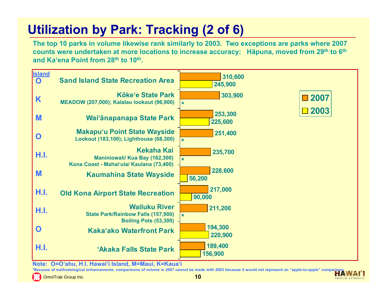### **Utilization by Park: Tracking (2 of 6)**

**The top 10 parks in volume likewise rank similarly to 2003. Two exceptions are parks where 2007 counts were undertaken at more locations to increase accuracy: Hāpuna, moved from 29th to 6th and Ka'ena Point from 28th to 10th.** 



**Note: O=O'ahu, H.I. Hawai'i Island, M=Maui, K=Kaua'i**

**\*Because of methodological enhancements, comparisons of volume in 2007 cannot be made with 2003 because it would not represent an "apple-to-apple" comparison.** 

OmniTrak Group Inc. **10**

TOURISM AUTHORIT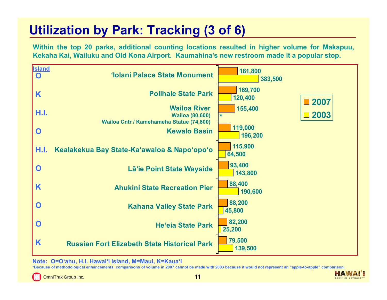#### **Utilization by Park: Tracking (3 of 6)**

Within the top 20 parks, additional counting locations resulted in higher volume for Makapuu, Kekaha Kai, Wailuku and Old Kona Airport. Kaumahina's new restroom made it a popular stop.



**Note: O=O'ahu, H.I. Hawai'i Island, M=Maui, K=Kaua'i**

**\*Because of methodological enhancements, comparisons of volume in 2007 cannot be made with 2003 because it would not represent an "apple-to-apple" comparison.** 

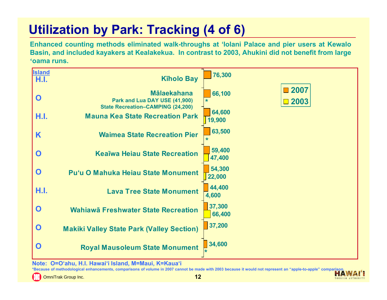### **Utilization by Park: Tracking (4 of 6)**

Enhanced counting methods eliminated walk-throughs at 'Iolani Palace and pier users at Kewalo Basin, and included kayakers at Kealakekua. In contrast to 2003, Ahukini did not benefit from large **'oama runs.**



**Note: O=O'ahu, H.I. Hawai'i Island, M=Maui, K=Kaua'i**

**\*Because of methodological enhancements, comparisons of volume in 2007 cannot be made with 2003 because it would not represent an "apple-to-apple" comparison.**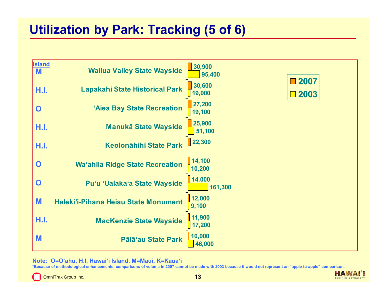#### **Utilization by Park: Tracking (5 of 6)**

| <b>Island</b><br><b>M</b> | <b>Wailua Valley State Wayside</b>     | 30,900<br>95,400                            |
|---------------------------|----------------------------------------|---------------------------------------------|
| H.I.                      | <b>Lapakahi State Historical Park</b>  | ■2007<br>30,600<br>19,000<br>$\square$ 2003 |
| $\mathbf 0$               | 'Aiea Bay State Recreation             | 27,200<br>19,100                            |
| H.I.                      | <b>Manukā State Wayside</b>            | 25,900<br>51,100                            |
| H.I.                      | <b>Keolonāhihi State Park</b>          | 22,300                                      |
| $\mathbf 0$               | <b>Wa'ahila Ridge State Recreation</b> | 14,100<br>10,200                            |
| $\mathbf O$               | Pu'u 'Ualaka'a State Wayside           | 14,000<br>161,300                           |
| M                         | Haleki'i-Pihana Heiau State Monument   | 12,000<br>9,100                             |
| H.I.                      | <b>MacKenzie State Wayside</b>         | 11,900<br>17,200                            |
| M                         | Pālā'au State Park                     | 10,000<br>46,000                            |

**Note: O=O'ahu, H.I. Hawai'i Island, M=Maui, K=Kaua'i**

**\*Because of methodological enhancements, comparisons of volume in 2007 cannot be made with 2003 because it would not represent an "apple-to-apple" comparison.** 

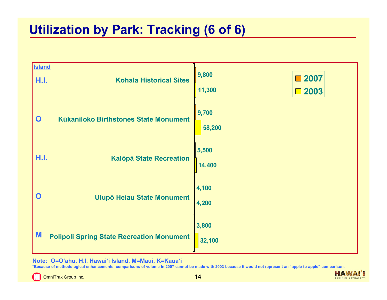#### **Utilization by Park: Tracking (6 of 6)**



**Note: O=O'ahu, H.I. Hawai'i Island, M=Maui, K=Kaua'i**

**\*Because of methodological enhancements, comparisons of volume in 2007 cannot be made with 2003 because it would not represent an "apple-to-apple" comparison.** 

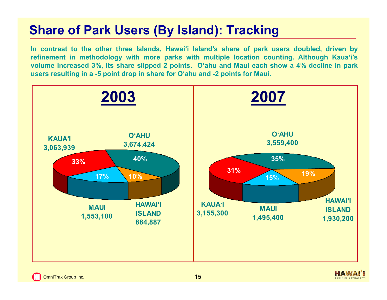#### **Share of Park Users (By Island): Tracking**

In contrast to the other three Islands, Hawai'i Island's share of park users doubled, driven by refinement in methodology with more parks with multiple location counting. Although Kaua'i's volume increased 3%, its share slipped 2 points. O'ahu and Maui each show a 4% decline in park users resulting in a -5 point drop in share for O'ahu and -2 points for Maui.

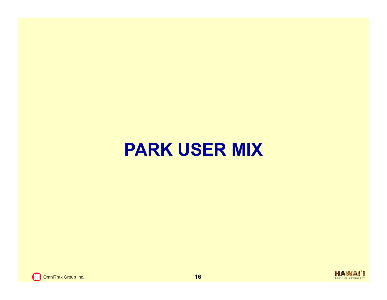## **PARK USER MIX**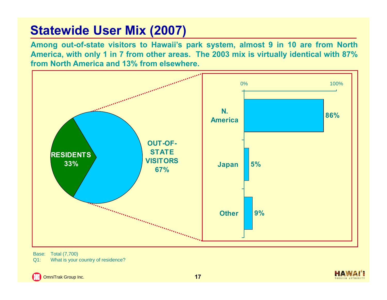#### **Statewide User Mix (2007)**

Among out-of-state visitors to Hawaii's park system, almost 9 in 10 are from North America, with only 1 in 7 from other areas. The 2003 mix is virtually identical with 87% **from North America and 13% from elsewhere.**



Base: Total (7,700) Q1: What is your country of residence?

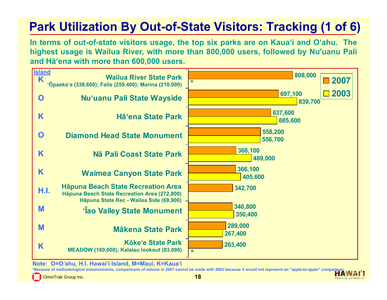#### **Park Utilization By Out-of-State Visitors: Tracking (1 of 6)**

In terms of out-of-state visitors usage, the top six parks are on Kaua'i and O'ahu. The highest usage is Wailua River, with more than 800,000 users, followed by Nu'uanu Pali **and Hā'ena with more than 600,000 users.**



**Note: O=O'ahu, H.I. Hawai'i Island, M=Maui, K=Kaua'i**

\*Because of methodological enhancements, comparisons of volume in 2007 cannot be made with 2003 because it would not represent an "apple-to-apple" comparis

OmniTrak Group Inc. **18**

TOURISM AUTHORIT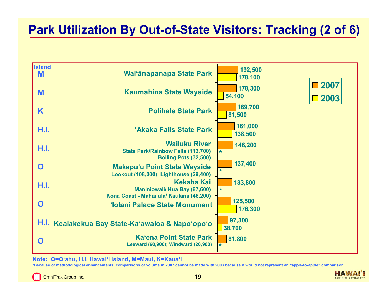#### **Park Utilization By Out-of-State Visitors: Tracking (2 of 6)**



**Note: O=O'ahu, H.I. Hawai'i Island, M=Maui, K=Kaua'i**

**\*Because of methodological enhancements, comparisons of volume in 2007 cannot be made with 2003 because it would not represent an "apple-to-apple" comparison.** 

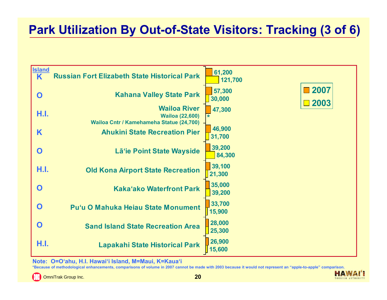#### **Park Utilization By Out-of-State Visitors: Tracking (3 of 6)**

| <b>Island</b><br>K | <b>Russian Fort Elizabeth State Historical Park</b>                                       | 61,200<br>121,700                |
|--------------------|-------------------------------------------------------------------------------------------|----------------------------------|
| $\mathbf O$        | <b>Kahana Valley State Park</b>                                                           | 2007<br>57,300<br>30,000<br>2003 |
| H.I.               | <b>Wailoa River</b><br><b>Wailoa (22,600)</b><br>Wailoa Cntr / Kamehameha Statue (24,700) | 47,300                           |
| K                  | <b>Ahukini State Recreation Pier</b>                                                      | 46,900<br>31,700                 |
| O                  | Lā'ie Point State Wayside                                                                 | 39,200<br>84,300                 |
| H.I.               | <b>Old Kona Airport State Recreation</b>                                                  | 39,100<br>21,300                 |
| O                  | <b>Kaka'ako Waterfront Park</b>                                                           | 35,000<br>39,200                 |
| O                  | Pu'u O Mahuka Heiau State Monument                                                        | 33,700<br>15,900                 |
| O                  | <b>Sand Island State Recreation Area</b>                                                  | 28,000<br>25,300                 |
| H.I.               | <b>Lapakahi State Historical Park</b>                                                     | 26,900<br>15,600                 |

**Note: O=O'ahu, H.I. Hawai'i Island, M=Maui, K=Kaua'i**

**\*Because of methodological enhancements, comparisons of volume in 2007 cannot be made with 2003 because it would not represent an "apple-to-apple" comparison.** 

E3 OmniTrak Group Inc. **20** **HAW** 

TOURISM AUTHORIT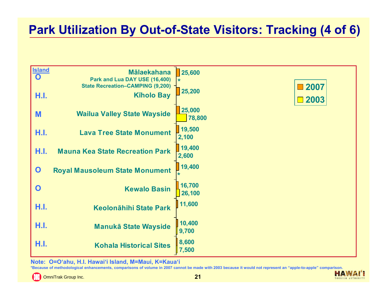#### **Park Utilization By Out-of-State Visitors: Tracking (4 of 6)**

| <b>Island</b><br>$\mathbf O$ | <b>Mālaekahana</b><br>Park and Lua DAY USE (16,400)          | 25,600<br>$\star$       |
|------------------------------|--------------------------------------------------------------|-------------------------|
| H.I.                         | <b>State Recreation-CAMPING (9,200)</b><br><b>Kiholo Bay</b> | ■2007<br>25,200<br>2003 |
| M                            | <b>Wailua Valley State Wayside</b>                           | 25,000<br>78,800        |
| H.I.                         | <b>Lava Tree State Monument</b>                              | 19,500<br>2,100         |
| H.I.                         | <b>Mauna Kea State Recreation Park</b>                       | 19,400<br>2,600         |
| $\mathbf O$                  | <b>Royal Mausoleum State Monument</b>                        | 19,400                  |
| $\mathbf 0$                  | <b>Kewalo Basin</b>                                          | 16,700<br>26,100        |
| H.I.                         | <b>Keolonāhihi State Park</b>                                | 11,600                  |
| H.I.                         | <b>Manukā State Wayside</b>                                  | 10,400<br>9,700         |
| H.I.                         | <b>Kohala Historical Sites</b>                               | 8,600<br>$\vert$ 7,500  |

**Note: O=O'ahu, H.I. Hawai'i Island, M=Maui, K=Kaua'i**

**\*Because of methodological enhancements, comparisons of volume in 2007 cannot be made with 2003 because it would not represent an "apple-to-apple" comparison.** 

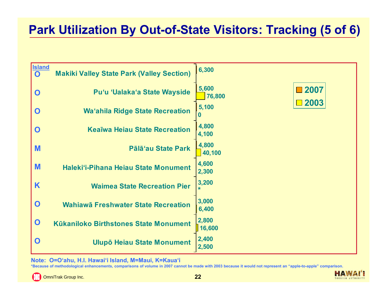#### **Park Utilization By Out-of-State Visitors: Tracking (5 of 6)**

| <b>Island</b><br>$\mathbf{O}$ | <b>Makiki Valley State Park (Valley Section)</b> | 6,300           |      |
|-------------------------------|--------------------------------------------------|-----------------|------|
| $\mathbf 0$                   | Pu'u 'Ualaka'a State Wayside                     | 5,600<br>76,800 | 2007 |
| $\mathbf O$                   | <b>Wa'ahila Ridge State Recreation</b>           | 5,100           | 2003 |
| O                             | <b>Keaīwa Heiau State Recreation</b>             | 4,800<br>4,100  |      |
| M                             | Pālā'au State Park                               | 4,800<br>40,100 |      |
| M                             | Haleki'i-Pihana Heiau State Monument             | 4,600<br>2,300  |      |
| K                             | <b>Waimea State Recreation Pier</b>              | 3,200           |      |
| $\mathbf 0$                   | Wahiawā Freshwater State Recreation              | 3,000<br>6,400  |      |
| $\mathbf 0$                   | <b>Kükaniloko Birthstones State Monument</b>     | 2,800<br>16,600 |      |
| O                             | <b>Ulupō Heiau State Monument</b>                | 2,400<br>2,500  |      |

**Note: O=O'ahu, H.I. Hawai'i Island, M=Maui, K=Kaua'i**

**\*Because of methodological enhancements, comparisons of volume in 2007 cannot be made with 2003 because it would not represent an "apple-to-apple" comparison.** 

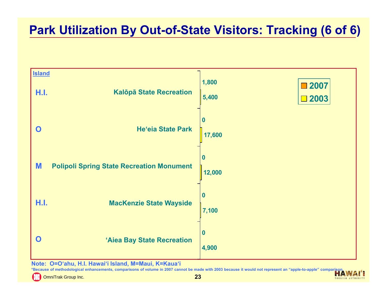#### **Park Utilization By Out-of-State Visitors: Tracking (6 of 6)**



**Note: O=O'ahu, H.I. Hawai'i Island, M=Maui, K=Kaua'i**

**\*Because of methodological enhancements, comparisons of volume in 2007 cannot be made with 2003 because it would not represent an "apple-to-apple" comparison.** 

OmniTrak Group Inc. **23**

TOURISM AUTHORIT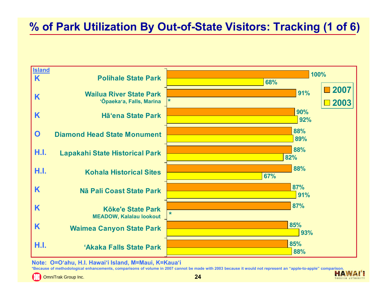#### **% of Park Utilization By Out-of-State Visitors: Tracking (1 of 6)**



**Note: O=O'ahu, H.I. Hawai'i Island, M=Maui, K=Kaua'i**

**\*Because of methodological enhancements, comparisons of volume in 2007 cannot be made with 2003 because it would not represent an "apple-to-apple" comparison.** 

OmniTrak Group Inc. **24**

**HAWA** TOURISM AUTHORIT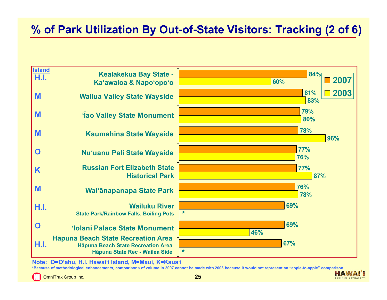#### **% of Park Utilization By Out-of-State Visitors: Tracking (2 of 6)**

| <b>Island</b><br>H.I. | <b>Kealakekua Bay State -</b><br>Ka'awaloa & Napo'opo'o                                                                  | 84%<br>2007<br>60% |
|-----------------------|--------------------------------------------------------------------------------------------------------------------------|--------------------|
| M                     | <b>Wailua Valley State Wayside</b>                                                                                       | 2003<br>81%<br>83% |
| M                     | <b>Tao Valley State Monument</b>                                                                                         | 79%<br>80%         |
| M                     | <b>Kaumahina State Wayside</b>                                                                                           | 78%<br>96%         |
| O                     | Nu'uanu Pali State Wayside                                                                                               | <b>77%</b><br>76%  |
| K                     | <b>Russian Fort Elizabeth State</b><br><b>Historical Park</b>                                                            | <b>77%</b><br>87%  |
| M                     | Wai'ānapanapa State Park                                                                                                 | 76%<br>78%         |
| H.I.                  | <b>Wailuku River</b><br><b>State Park/Rainbow Falls, Boiling Pots</b>                                                    | 69%<br>$\ast$      |
| $\mathbf O$           | 'Iolani Palace State Monument                                                                                            | 69%<br>46%         |
| H.I.                  | <b>Häpuna Beach State Recreation Area</b><br><b>Häpuna Beach State Recreation Area</b><br>Hāpuna State Rec - Wailea Side | 67%<br>$\star$     |

**Note: O=O'ahu, H.I. Hawai'i Island, M=Maui, K=Kaua'i**

**\*Because of methodological enhancements, comparisons of volume in 2007 cannot be made with 2003 because it would not represent an "apple-to-apple" comparison.** 



HAW

TOURISM AUTHORIT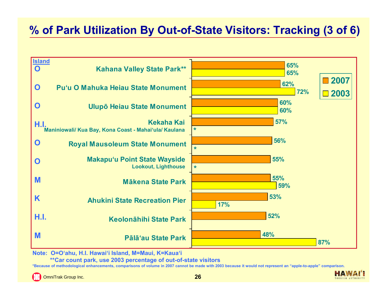#### **% of Park Utilization By Out-of-State Visitors: Tracking (3 of 6)**



**Note: O=O'ahu, H.I. Hawai'i Island, M=Maui, K=Kaua'i**

**\*\*Car count park, use 2003 percentage of out-of-state visitors**

**\*Because of methodological enhancements, comparisons of volume in 2007 cannot be made with 2003 because it would not represent an "apple-to-apple" comparison.** 

OmniTrak Group Inc. **26**

**HAWAI** TOURISM AUTHORIT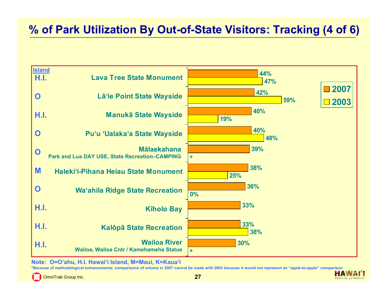#### **% of Park Utilization By Out-of-State Visitors: Tracking (4 of 6)**



**Note: O=O'ahu, H.I. Hawai'i Island, M=Maui, K=Kaua'i**

**\*Because of methodological enhancements, comparisons of volume in 2007 cannot be made with 2003 because it would not represent an "apple-to-apple" comparison. HAWAI** 

OmniTrak Group Inc. **27**

TOURISM AUTHORIT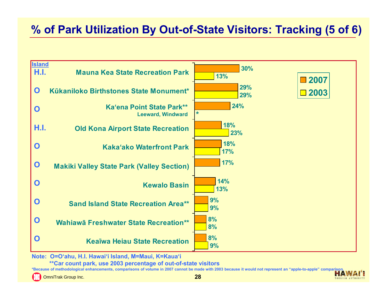#### **% of Park Utilization By Out-of-State Visitors: Tracking (5 of 6)**



**Note: O=O'ahu, H.I. Hawai'i Island, M=Maui, K=Kaua'i**

**\*\*Car count park, use 2003 percentage of out-of-state visitors**

**\*Because of methodological enhancements, comparisons of volume in 2007 cannot be made with 2003 because it would not represent an "apple-to-apple" comparison.**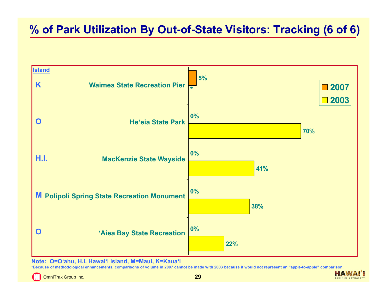#### **% of Park Utilization By Out-of-State Visitors: Tracking (6 of 6)**



**Note: O=O'ahu, H.I. Hawai'i Island, M=Maui, K=Kaua'i**

**\*Because of methodological enhancements, comparisons of volume in 2007 cannot be made with 2003 because it would not represent an "apple-to-apple" comparison.** 

OmniTrak Group Inc. **29**

HAW TOURISM AUTHORIT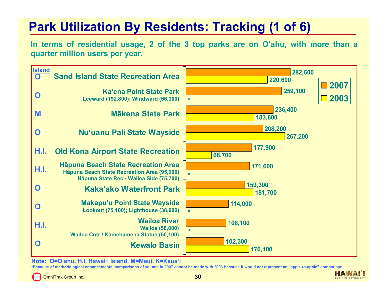#### **Park Utilization By Residents: Tracking (1 of 6)**

In terms of residential usage, 2 of the 3 top parks are on O'ahu, with more than a **quarter million users per year.**



**Note: O=O'ahu, H.I. Hawai'i Island, M=Maui, K=Kaua'i**

**\*Because of methodological enhancements, comparisons of volume in 2007 cannot be made with 2003 because it would not represent an "apple-to-apple" comparison.** 

OmniTrak Group Inc. **30**

**HAWAI** TOURISM AUTHORIT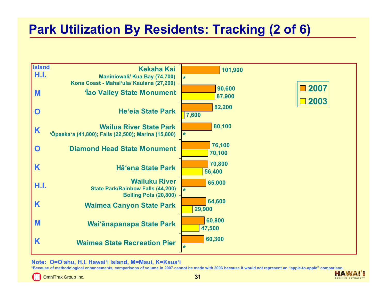#### **Park Utilization By Residents: Tracking (2 of 6)**



**Note: O=O'ahu, H.I. Hawai'i Island, M=Maui, K=Kaua'i**

**\*Because of methodological enhancements, comparisons of volume in 2007 cannot be made with 2003 because it would not represent an "apple-to-apple" comparison.** 

OmniTrak Group Inc. **31**

**HAWA!** TOURISM AUTHORIT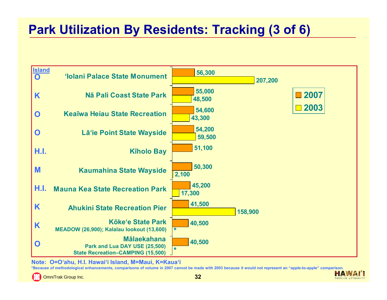#### **Park Utilization By Residents: Tracking (3 of 6)**



**Note: O=O'ahu, H.I. Hawai'i Island, M=Maui, K=Kaua'i**

**\*Because of methodological enhancements, comparisons of volume in 2007 cannot be made with 2003 because it would not represent an "apple-to-apple" comparison.** 

OmniTrak Group Inc. **32**

**HAWA!** TOURISM AUTHORIT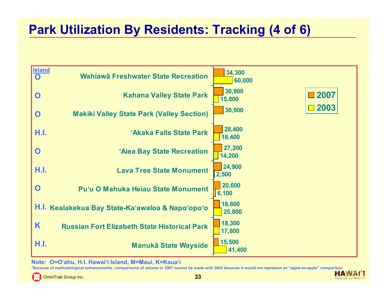#### **Park Utilization By Residents: Tracking (4 of 6)**



**Note: O=O'ahu, H.I. Hawai'i Island, M=Maui, K=Kaua'i**

**\*Because of methodological enhancements, comparisons of volume in 2007 cannot be made with 2003 because it would not represent an "apple-to-apple" comparison.** 

OmniTrak Group Inc. **33**

**HAWA!** TOURISM AUTHORIT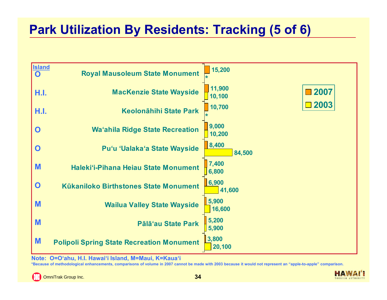#### **Park Utilization By Residents: Tracking (5 of 6)**



**Note: O=O'ahu, H.I. Hawai'i Island, M=Maui, K=Kaua'i**

**\*Because of methodological enhancements, comparisons of volume in 2007 cannot be made with 2003 because it would not represent an "apple-to-apple" comparison.** 

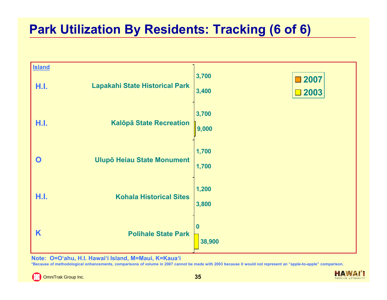#### **Park Utilization By Residents: Tracking (6 of 6)**



**Note: O=O'ahu, H.I. Hawai'i Island, M=Maui, K=Kaua'i**

**\*Because of methodological enhancements, comparisons of volume in 2007 cannot be made with 2003 because it would not represent an "apple-to-apple" comparison.** 

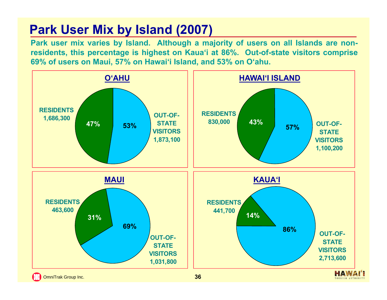#### **Park User Mix by Island (2007)**

Park user mix varies by Island. Although a majority of users on all Islands are nonresidents, this percentage is highest on Kaua'i at 86%. Out-of-state visitors comprise 69% of users on Maui, 57% on Hawai'i Island, and 53% on O'ahu.

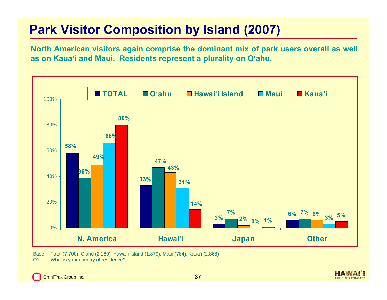## **Park Visitor Composition by Island (2007)**

North American visitors again comprise the dominant mix of park users overall as well **as on Kaua'i and Maui. Residents represent <sup>a</sup> plurality on O'ahu.**



Base: Total (7,700); O'ahu (2,169); Hawai'i Island (1,879); Maui (784); Kaua'i (2,868) Q1: What is your country of residence?

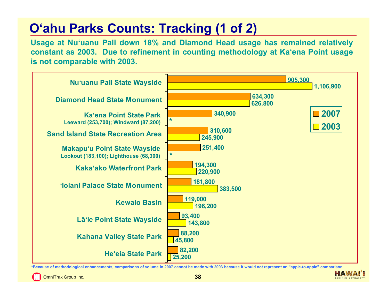# **O'ahu Parks Counts: Tracking (1 of 2)**

Usage at Nu'uanu Pali down 18% and Diamond Head usage has remained relatively constant as 2003. Due to refinement in counting methodology at Ka'ena Point usage **is not comparable with 2003.**



**\*Because of methodological enhancements, comparisons of volume in 2007 cannot be made with 2003 because it would not represent an "apple-to-apple" comparison.** 

OmniTrak Group Inc. **38**

**HAWA**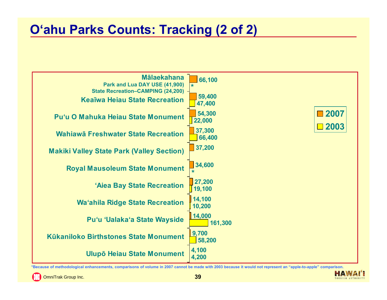#### **O'ahu Parks Counts: Tracking (2 of 2)**



**\*Because of methodological enhancements, comparisons of volume in 2007 cannot be made with 2003 because it would not represent an "apple-to-apple" comparison.** 



HA.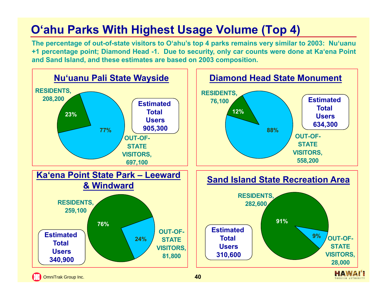#### **O'ahu Parks With Highest Usage Volume (Top 4)**

The percentage of out-of-state visitors to O'ahu's top 4 parks remains very similar to 2003: Nu'uanu +1 percentage point; Diamond Head -1. Due to security, only car counts were done at Ka'ena Point **and Sand Island, and these estimates are based on 2003 composition.**

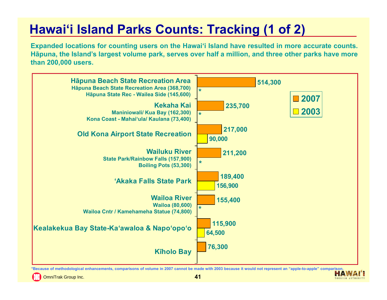## **Hawai'i Island Parks Counts: Tracking (1 of 2)**

Expanded locations for counting users on the Hawai'i Island have resulted in more accurate counts. Hāpuna, the Island's largest volume park, serves over half a million, and three other parks have more **than 200,000 users.**



**\*Because of methodological enhancements, comparisons of volume in 2007 cannot be made with 2003 because it would not represent an "apple-to-apple" comparison.** 

OmniTrak Group Inc. **41**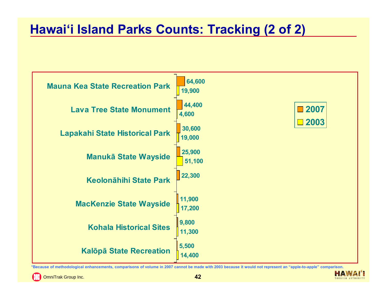#### **Hawai'i Island Parks Counts: Tracking (2 of 2)**



**\*Because of methodological enhancements, comparisons of volume in 2007 cannot be made with 2003 because it would not represent an "apple-to-apple" comparison.** 

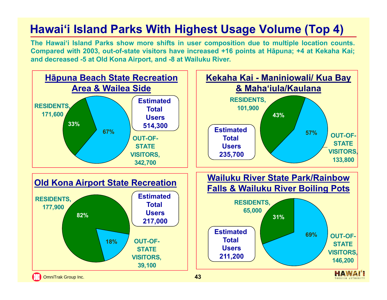#### **Hawai'i Island Parks With Highest Usage Volume (Top 4)**

The Hawai'i Island Parks show more shifts in user composition due to multiple location counts. Compared with 2003, out-of-state visitors have increased +16 points at Hāpuna; +4 at Kekaha Kai; **and decreased -5 at Old Kona Airport, and -8 at Wailuku River.**

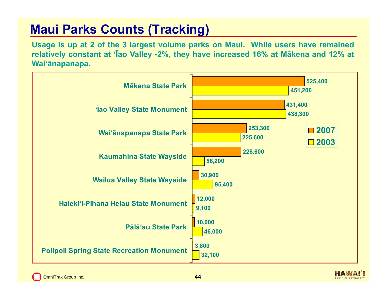## **Maui Parks Counts (Tracking)**

Usage is up at 2 of the 3 largest volume parks on Maui. While users have remained relatively constant at 'lao Valley -2%, they have increased 16% at Makena and 12% at **Wai'ānapanapa.**



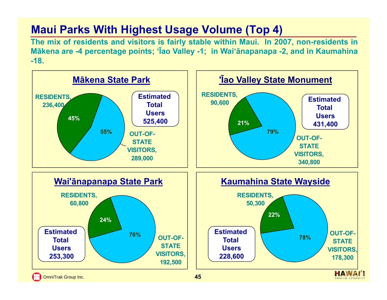#### **Maui Parks With Highest Usage Volume (Top 4)**

The mix of residents and visitors is fairly stable within Maui. In 2007, non-residents in Mākena are -4 percentage points; 'Īao Valley -1; in Wai'ānapanapa -2, and in Kaumahina **-18.**

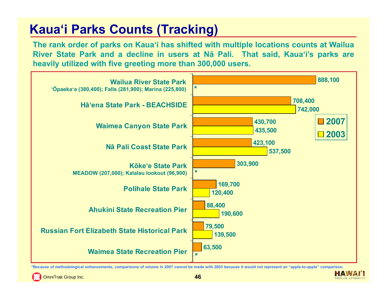## **Kaua'i Parks Counts (Tracking)**

The rank order of parks on Kaua'i has shifted with multiple locations counts at Wailua River State Park and a decline in users at Nā Pali. That said, Kauaʻi's parks are **heavily utilized with five greeting more than 300,000 users.**



**\*Because of methodological enhancements, comparisons of volume in 2007 cannot be made with 2003 because it would not represent an "apple-to-apple" comparison.** 

OmniTrak Group Inc. **46**

HAW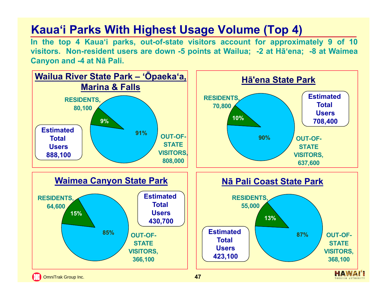#### **Kaua'i Parks With Highest Usage Volume (Top 4)**

In the top 4 Kaua'i parks, out-of-state visitors account for approximately 9 of 10 visitors. Non-resident users are down -5 points at Wailua; -2 at Ha'ena; -8 at Waimea **Canyon and -4 at Nā Pali.**

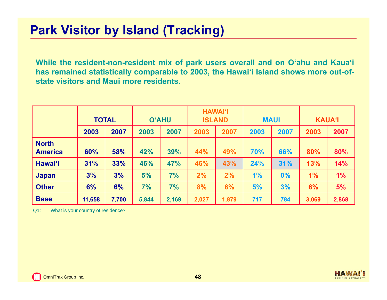#### **Park Visitor by Island (Tracking)**

While the resident-non-resident mix of park users overall and on O'ahu and Kaua'i has remained statistically comparable to 2003, the Hawai'i Island shows more out-of**state visitors and Maui more residents.**

|                                |        | <b>TOTAL</b> |       | <b>O'AHU</b> |       | <b>HAWAI'I</b><br><b>ISLAND</b> |      | <b>MAUI</b> | <b>KAUA'I</b> |       |
|--------------------------------|--------|--------------|-------|--------------|-------|---------------------------------|------|-------------|---------------|-------|
|                                | 2003   | 2007         | 2003  | 2007         | 2003  | 2007                            | 2003 | 2007        | 2003          | 2007  |
| <b>North</b><br><b>America</b> | 60%    | 58%          | 42%   | 39%          | 44%   | 49%                             | 70%  | 66%         | 80%           | 80%   |
| <b>Hawai'i</b>                 | 31%    | 33%          | 46%   | 47%          | 46%   | 43%                             | 24%  | 31%         | 13%           | 14%   |
| <b>Japan</b>                   | 3%     | 3%           | 5%    | 7%           | 2%    | 2%                              | 1%   | 0%          | $1\%$         | 1%    |
| <b>Other</b>                   | 6%     | 6%           | 7%    | 7%           | 8%    | 6%                              | 5%   | 3%          | 6%            | 5%    |
| <b>Base</b>                    | 11,658 | 7,700        | 5,844 | 2,169        | 2,027 | 1,879                           | 717  | 784         | 3,069         | 2,868 |

Q1: What is your country of residence?

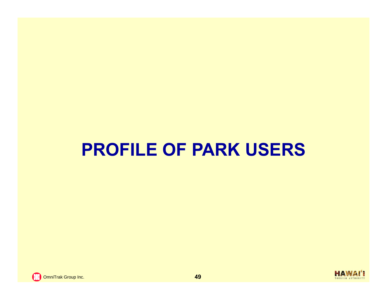# **PROFILE OF PARK USERS**

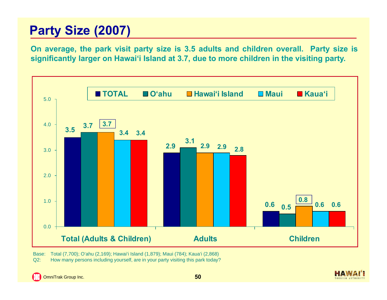## **Party Size (2007)**

On average, the park visit party size is 3.5 adults and children overall. Party size is significantly larger on Hawai'i Island at 3.7, due to more children in the visiting party.



Base: Total (7,700); O'ahu (2,169); Hawai'i Island (1,879); Maui (784); Kaua'i (2,868) Q2: How many persons including yourself, are in your party visiting this park today?

TOURISM AUTHORIT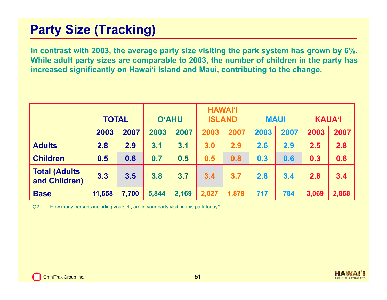## **Party Size (Tracking)**

In contrast with 2003, the average party size visiting the park system has grown by 6%. While adult party sizes are comparable to 2003, the number of children in the party has increased significantly on Hawai'i Island and Maui, contributing to the change.

|                                        | <b>TOTAL</b> |       |       | <b>O'AHU</b> |       | <b>HAWAI'I</b><br><b>ISLAND</b> |      | <b>MAUI</b> |       | <b>KAUA'I</b> |  |
|----------------------------------------|--------------|-------|-------|--------------|-------|---------------------------------|------|-------------|-------|---------------|--|
|                                        | 2003         | 2007  | 2003  | 2007         | 2003  | 2007                            | 2003 | 2007        | 2003  | 2007          |  |
| <b>Adults</b>                          | 2.8          | 2.9   | 3.1   | 3.1          | 3.0   | 2.9                             | 2.6  | 2.9         | 2.5   | 2.8           |  |
| <b>Children</b>                        | 0.5          | 0.6   | 0.7   | 0.5          | 0.5   | 0.8                             | 0.3  | 0.6         | 0.3   | 0.6           |  |
| <b>Total (Adults)</b><br>and Children) | 3.3          | 3.5   | 3.8   | 3.7          | 3.4   | 3.7                             | 2.8  | 3.4         | 2.8   | 3.4           |  |
| <b>Base</b>                            | 11,658       | 7,700 | 5,844 | 2,169        | 2,027 | 1,879                           | 717  | 784         | 3,069 | 2,868         |  |

Q2: How many persons including yourself, are in your party visiting this park today?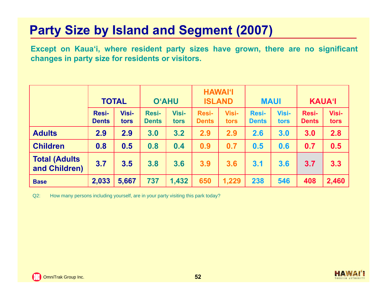### **Party Size by Island and Segment (2007)**

Except on Kaua'i, where resident party sizes have grown, there are no significant **changes in party size for residents or visitors.**

|                                       | <b>TOTAL</b>                 |               | <b>O'AHU</b>                 |               | <b>HAWAI'I</b><br><b>ISLAND</b> |               | <b>MAUI</b>                  |                      | <b>KAUA'I</b>         |               |
|---------------------------------------|------------------------------|---------------|------------------------------|---------------|---------------------------------|---------------|------------------------------|----------------------|-----------------------|---------------|
|                                       | <b>Resi-</b><br><b>Dents</b> | Visi-<br>tors | <b>Resi-</b><br><b>Dents</b> | Visi-<br>tors | <b>Resi-</b><br><b>Dents</b>    | Visi-<br>tors | <b>Resi-</b><br><b>Dents</b> | <b>Visi-</b><br>tors | Resi-<br><b>Dents</b> | Visi-<br>tors |
| <b>Adults</b>                         | 2.9                          | 2.9           | 3.0                          | 3.2           | 2.9                             | 2.9           | 2.6                          | 3.0                  | 3.0                   | 2.8           |
| <b>Children</b>                       | 0.8                          | 0.5           | 0.8                          | 0.4           | 0.9                             | 0.7           | 0.5                          | 0.6                  | 0.7                   | 0.5           |
| <b>Total (Adults</b><br>and Children) | 3.7                          | 3.5           | 3.8                          | 3.6           | 3.9                             | 3.6           | 3.1                          | 3.6                  | 3.7                   | 3.3           |
| <b>Base</b>                           | 2,033                        | 5,667         | 737                          | 1,432         | 650                             | 1,229         | 238                          | 546                  | 408                   | 2,460         |

Q2: How many persons including yourself, are in your party visiting this park today?

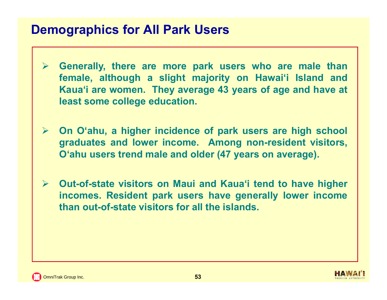#### **Demographics for All Park Users**

- $\blacktriangleright$  **Generally, there are more park users who are male than female, although <sup>a</sup> slight majority on Hawai'i Island and Kaua'i are women. They average 43 years of age and have at least some college education.**
- **On O'ahu, <sup>a</sup> higher incidence of park users are high school graduates and lower income. Among non-resident visitors, O'ahu users trend male and older (47 years on average).**
- **Out-of-state visitors on Maui and Kaua'i tend to have higher incomes. Resident park users have generally lower income than out-of-state visitors for all the islands.**

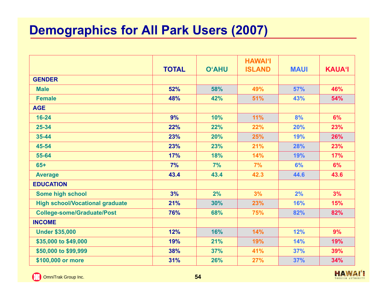#### **Demographics for All Park Users (2007)**

|                                        | <b>TOTAL</b> | <b>O'AHU</b> | <b>HAWAI'I</b><br><b>ISLAND</b> | <b>MAUI</b> | <b>KAUA'I</b> |
|----------------------------------------|--------------|--------------|---------------------------------|-------------|---------------|
| <b>GENDER</b>                          |              |              |                                 |             |               |
| <b>Male</b>                            | 52%          | 58%          | 49%                             | 57%         | 46%           |
| <b>Female</b>                          | 48%          | 42%          | 51%                             | 43%         | 54%           |
| <b>AGE</b>                             |              |              |                                 |             |               |
| $16 - 24$                              | 9%           | 10%          | 11%                             | 8%          | 6%            |
| $25 - 34$                              | 22%          | 22%          | 22%                             | 20%         | 23%           |
| 35-44                                  | 23%          | 20%          | 25%                             | 19%         | 26%           |
| 45-54                                  | 23%          | 23%          | 21%                             | 28%         | 23%           |
| 55-64                                  | 17%          | 18%          | 14%                             | 19%         | 17%           |
| $65+$                                  | 7%           | 7%           | 7%                              | 6%          | 6%            |
| <b>Average</b>                         | 43.4         | 43.4         | 42.3                            | 44.6        | 43.6          |
| <b>EDUCATION</b>                       |              |              |                                 |             |               |
| Some high school                       | 3%           | 2%           | 3%                              | 2%          | 3%            |
| <b>High school/Vocational graduate</b> | 21%          | 30%          | 23%                             | 16%         | 15%           |
| <b>College-some/Graduate/Post</b>      | 76%          | 68%          | 75%                             | 82%         | 82%           |
| <b>INCOME</b>                          |              |              |                                 |             |               |
| <b>Under \$35,000</b>                  | 12%          | 16%          | 14%                             | 12%         | 9%            |
| \$35,000 to \$49,000                   | 19%          | 21%          | 19%                             | 14%         | 19%           |
| \$50,000 to \$99,999                   | 38%          | 37%          | 41%                             | 37%         | 39%           |
| \$100,000 or more                      | 31%          | 26%          | 27%                             | 37%         | 34%           |

**C.** OmniTrak Group Inc. **54** 

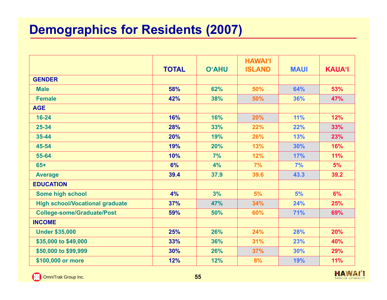## **Demographics for Residents (2007)**

|                                        | <b>TOTAL</b> | <b>O'AHU</b> | <b>HAWAI'I</b><br><b>ISLAND</b> | <b>MAUI</b> | <b>KAUA'I</b> |
|----------------------------------------|--------------|--------------|---------------------------------|-------------|---------------|
| <b>GENDER</b>                          |              |              |                                 |             |               |
| <b>Male</b>                            | 58%          | 62%          | 50%                             | 64%         | 53%           |
| <b>Female</b>                          | 42%          | 38%          | 50%                             | 36%         | 47%           |
| <b>AGE</b>                             |              |              |                                 |             |               |
| $16 - 24$                              | 16%          | 16%          | 20%                             | 11%         | 12%           |
| $25 - 34$                              | 28%          | 33%          | 22%                             | 22%         | 33%           |
| 35-44                                  | 20%          | 19%          | 26%                             | 13%         | 23%           |
| 45-54                                  | 19%          | 20%          | 13%                             | 30%         | 16%           |
| 55-64                                  | 10%          | 7%           | 12%                             | <b>17%</b>  | 11%           |
| $65+$                                  | 6%           | 4%           | 7%                              | 7%          | 5%            |
| <b>Average</b>                         | 39.4         | 37.9         | 39.6                            | 43.3        | 39.2          |
| <b>EDUCATION</b>                       |              |              |                                 |             |               |
| Some high school                       | 4%           | 3%           | 5%                              | 5%          | 6%            |
| <b>High school/Vocational graduate</b> | 37%          | 47%          | 34%                             | 24%         | 25%           |
| <b>College-some/Graduate/Post</b>      | 59%          | 50%          | 60%                             | 71%         | 69%           |
| <b>INCOME</b>                          |              |              |                                 |             |               |
| <b>Under \$35,000</b>                  | 25%          | 26%          | 24%                             | 28%         | 20%           |
| \$35,000 to \$49,000                   | 33%          | 36%          | 31%                             | 23%         | 40%           |
| \$50,000 to \$99,999                   | 30%          | 26%          | 37%                             | 30%         | 29%           |
| \$100,000 or more                      | 12%          | 12%          | 8%                              | 19%         | 11%           |

**C.** OmniTrak Group Inc. **55** 

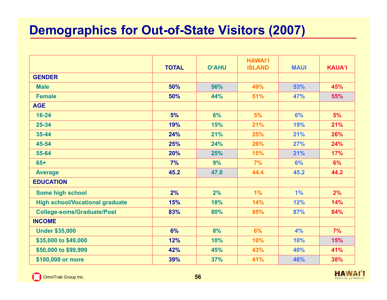#### **Demographics for Out-of-State Visitors (2007)**

|                                        | <b>TOTAL</b> | <b>O'AHU</b> | <b>HAWAI'I</b><br><b>ISLAND</b> | <b>MAUI</b> | <b>KAUA'I</b> |
|----------------------------------------|--------------|--------------|---------------------------------|-------------|---------------|
| <b>GENDER</b>                          |              |              |                                 |             |               |
| <b>Male</b>                            | 50%          | 56%          | 49%                             | 53%         | 45%           |
| <b>Female</b>                          | 50%          | 44%          | 51%                             | 47%         | 55%           |
| <b>AGE</b>                             |              |              |                                 |             |               |
| $16 - 24$                              | 5%           | 6%           | 5%                              | 6%          | 5%            |
| $25 - 34$                              | 19%          | 15%          | 21%                             | 19%         | 21%           |
| 35-44                                  | 24%          | 21%          | 25%                             | 21%         | 26%           |
| 45-54                                  | 25%          | 24%          | 26%                             | 27%         | 24%           |
| 55-64                                  | 20%          | 25%          | 15%                             | 21%         | 17%           |
| $65+$                                  | 7%           | 9%           | 7%                              | 6%          | 6%            |
| <b>Average</b>                         | 45.2         | 47.0         | 44.4                            | 45.2        | 44.2          |
| <b>EDUCATION</b>                       |              |              |                                 |             |               |
| Some high school                       | 2%           | 2%           | 1%                              | 1%          | 2%            |
| <b>High school/Vocational graduate</b> | 15%          | 18%          | 14%                             | 12%         | 14%           |
| <b>College-some/Graduate/Post</b>      | 83%          | 80%          | 85%                             | 87%         | 84%           |
| <b>INCOME</b>                          |              |              |                                 |             |               |
| <b>Under \$35,000</b>                  | 6%           | 8%           | 6%                              | 4%          | 7%            |
| \$35,000 to \$49,000                   | 12%          | 10%          | 10%                             | 10%         | 15%           |
| \$50,000 to \$99,999                   | 42%          | 45%          | 43%                             | 40%         | 41%           |
| \$100,000 or more                      | 39%          | 37%          | 41%                             | 46%         | 38%           |

**Committee Group Inc. 56** 

**HAWAI'I** TOURISM AUTHORITY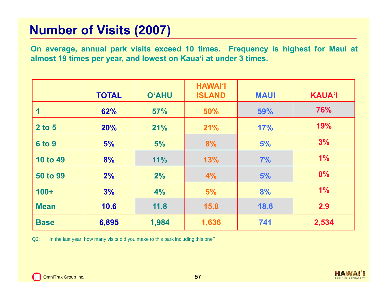#### **Number of Visits (2007)**

On average, annual park visits exceed 10 times. Frequency is highest for Maui at almost 19 times per year, and lowest on Kaua'i at under 3 times.

|                 | <b>TOTAL</b> | <b>O'AHU</b> | <b>HAWAI'I</b><br><b>ISLAND</b> | <b>MAUI</b> | <b>KAUA'I</b> |
|-----------------|--------------|--------------|---------------------------------|-------------|---------------|
|                 | 62%          | 57%          | 50%                             | 59%         | 76%           |
| 2 to 5          | <b>20%</b>   | 21%          | 21%                             | 17%         | 19%           |
| <b>6 to 9</b>   | 5%           | 5%           | 8%                              | 5%          | 3%            |
| <b>10 to 49</b> | 8%           | 11%          | 13%                             | 7%          | 1%            |
| <b>50 to 99</b> | 2%           | 2%           | 4%                              | 5%          | $0\%$         |
| $100+$          | 3%           | 4%           | 5%                              | 8%          | 1%            |
| <b>Mean</b>     | 10.6         | 11.8         | 15.0                            | 18.6        | 2.9           |
| <b>Base</b>     | 6,895        | 1,984        | 1,636                           | 741         | 2,534         |

Q3: In the last year, how many visits did you make to this park including this one?

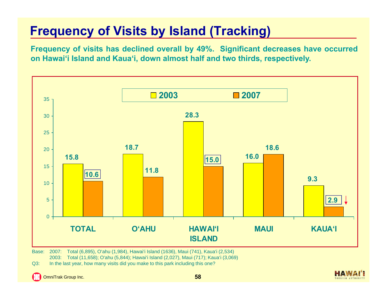## **Frequency of Visits by Island (Tracking)**

Frequency of visits has declined overall by 49%. Significant decreases have occurred on Hawai'i Island and Kaua'i, down almost half and two thirds, respectively.



Base: 2007: Total (6,895), O'ahu (1,984), Hawai'i Island (1636), Maui (741), Kaua'i (2,534) 2003: Total (11,658); O'ahu (5,844); Hawai'i Island (2,027), Maui (717); Kaua'i (3,069)

Q3: In the last year, how many visits did you make to this park including this one?

E3 OmniTrak Group Inc. **58**

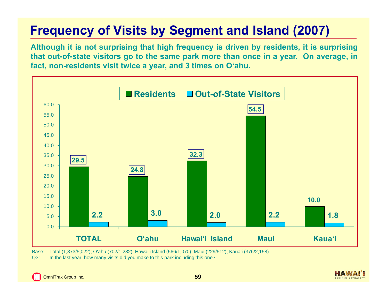## **Frequency of Visits by Segment and Island (2007)**

Although it is not surprising that high frequency is driven by residents, it is surprising that out-of-state visitors go to the same park more than once in a year. On average, in **fact, non-residents visit twice <sup>a</sup> year, and 3 times on O'ahu.**



Base: Total (1,873/5,022); O'ahu (702/1,282); Hawai'i Island (566/1,070); Maui (229/512); Kaua'i (376/2,158)

Q3: In the last year, how many visits did you make to this park including this one?

TOURISM AUTHORIT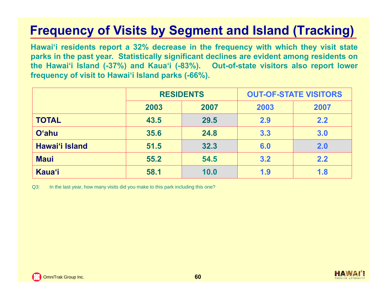## **Frequency of Visits by Segment and Island (Tracking)**

Hawai'i residents report a 32% decrease in the frequency with which they visit state parks in the past year. Statistically significant declines are evident among residents on the Hawai'i Island (-37%) and Kaua'i (-83%). Out-of-state visitors also report lower **frequency of visit to Hawai'i Island parks (-66%).**

|                |      | <b>RESIDENTS</b> | <b>OUT-OF-STATE VISITORS</b> |      |  |
|----------------|------|------------------|------------------------------|------|--|
|                | 2003 | 2007             | 2003                         | 2007 |  |
| <b>TOTAL</b>   | 43.5 | 29.5             | 2.9                          | 2.2  |  |
| <b>O'ahu</b>   | 35.6 | 24.8             | 3.3                          | 3.0  |  |
| Hawai'i Island | 51.5 | 32.3             | 6.0                          | 2.0  |  |
| <b>Maui</b>    | 55.2 | 54.5             | 3.2                          | 2.2  |  |
| <b>Kaua'i</b>  | 58.1 | 10.0             | 1.9                          | 1.8  |  |

Q3: In the last year, how many visits did you make to this park including this one?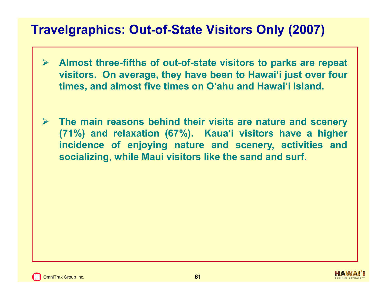#### **Travelgraphics: Out-of-State Visitors Only (2007)**

- $\blacktriangleright$  **Almost three-fifths of out-of-state visitors to parks are repeat visitors. On average, they have been to Hawai'i just over four times, and almost five times on O'ahu and Hawai'i Island.**
- $\sum_{i=1}^{n}$  **The main reasons behind their visits are nature and scenery (71%) and relaxation (67%). Kaua'i visitors have <sup>a</sup> higher incidence of enjoying nature and scenery, activities and socializing, while Maui visitors like the sand and surf.**

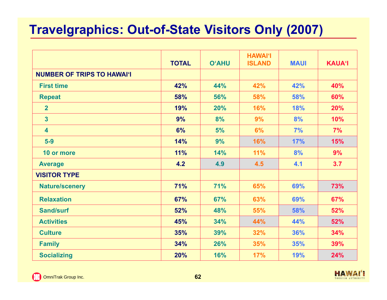## **Travelgraphics: Out-of-State Visitors Only (2007)**

|                                   | <b>TOTAL</b> | <b>O'AHU</b> | <b>HAWAI'I</b><br><b>ISLAND</b> | <b>MAUI</b> | <b>KAUA'I</b> |
|-----------------------------------|--------------|--------------|---------------------------------|-------------|---------------|
| <b>NUMBER OF TRIPS TO HAWAI'I</b> |              |              |                                 |             |               |
| <b>First time</b>                 | 42%          | 44%          | 42%                             | 42%         | 40%           |
| <b>Repeat</b>                     | 58%          | 56%          | 58%                             | 58%         | 60%           |
| $\overline{2}$                    | 19%          | 20%          | 16%                             | 18%         | 20%           |
| $\overline{3}$                    | 9%           | 8%           | 9%                              | 8%          | 10%           |
| $\overline{\mathbf{4}}$           | 6%           | 5%           | 6%                              | 7%          | 7%            |
| $5-9$                             | 14%          | 9%           | 16%                             | 17%         | 15%           |
| 10 or more                        | 11%          | 14%          | 11%                             | 8%          | 9%            |
| <b>Average</b>                    | 4.2          | 4.9          | 4.5                             | 4.1         | 3.7           |
| <b>VISITOR TYPE</b>               |              |              |                                 |             |               |
| <b>Nature/scenery</b>             | 71%          | 71%          | 65%                             | 69%         | 73%           |
| <b>Relaxation</b>                 | 67%          | 67%          | 63%                             | 69%         | 67%           |
| <b>Sand/surf</b>                  | 52%          | 48%          | 55%                             | 58%         | 52%           |
| <b>Activities</b>                 | 45%          | 34%          | 44%                             | 44%         | 52%           |
| <b>Culture</b>                    | 35%          | 39%          | 32%                             | 36%         | 34%           |
| <b>Family</b>                     | 34%          | 26%          | 35%                             | 35%         | 39%           |
| <b>Socializing</b>                | 20%          | 16%          | 17%                             | 19%         | 24%           |

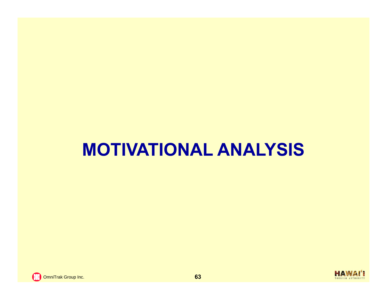# **MOTIVATIONAL ANALYSIS**

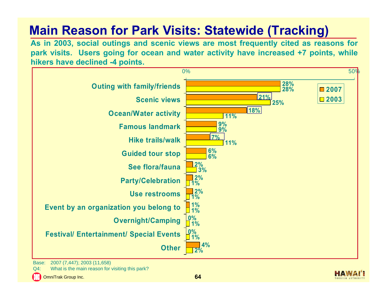## **Main Reason for Park Visits: Statewide (Tracking)**

As in 2003, social outings and scenic views are most frequently cited as reasons for park visits. Users going for ocean and water activity have increased +7 points, while **hikers have declined -4 points.**



Base: 2007 (7,447); 2003 (11,658)

Q4: What is the main reason for visiting this park?

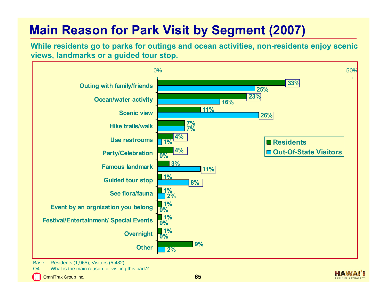## **Main Reason for Park Visit by Segment (2007)**

While residents go to parks for outings and ocean activities, non-residents enjoy scenic **views, landmarks or <sup>a</sup> guided tour stop.**



Base: Residents (1,965); Visitors (5,482)

Q4: What is the main reason for visiting this park?

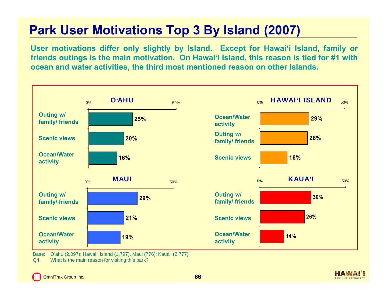# **Park User Motivations Top 3 By Island (2007)**

User motivations differ only slightly by Island. Except for Hawai'i Island, family or friends outings is the main motivation. On Hawai'i Island, this reason is tied for #1 with ocean and water activities, the third most mentioned reason on other Islands.



Base: O'ahu (2,097); Hawai'i Island (1,797), Maui (776); Kaua'i (2,777) Q4: What is the main reason for visiting this park?

OmniTrak Group Inc. **66**

COURISM AUTHORIT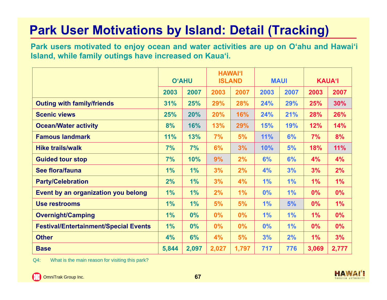## **Park User Motivations by Island: Detail (Tracking)**

Park users motivated to enjoy ocean and water activities are up on O'ahu and Hawai'i **Island, while family outings have increased on Kaua'i.**

|                                              |       | <b>O'AHU</b> |       | <b>HAWAI'I</b><br><b>ISLAND</b> |            | <b>MAUI</b> |       | <b>KAUA'I</b> |
|----------------------------------------------|-------|--------------|-------|---------------------------------|------------|-------------|-------|---------------|
|                                              | 2003  | 2007         | 2003  | 2007                            | 2003       | 2007        | 2003  | 2007          |
| <b>Outing with family/friends</b>            | 31%   | 25%          | 29%   | 28%                             | 24%        | 29%         | 25%   | 30%           |
| <b>Scenic views</b>                          | 25%   | 20%          | 20%   | 16%                             | 24%        | 21%         | 28%   | 26%           |
| <b>Ocean/Water activity</b>                  | 8%    | 16%          | 13%   | 29%                             | <b>15%</b> | 19%         | 12%   | 14%           |
| <b>Famous landmark</b>                       | 11%   | 13%          | 7%    | 5%                              | 11%        | 6%          | 7%    | 8%            |
| <b>Hike trails/walk</b>                      | 7%    | 7%           | 6%    | 3%                              | 10%        | 5%          | 18%   | 11%           |
| <b>Guided tour stop</b>                      | 7%    | 10%          | 9%    | 2%                              | 6%         | 6%          | 4%    | 4%            |
| See flora/fauna                              | 1%    | 1%           | 3%    | 2%                              | 4%         | 3%          | 3%    | 2%            |
| <b>Party/Celebration</b>                     | 2%    | 1%           | 3%    | 4%                              | 1%         | 1%          | 1%    | 1%            |
| Event by an organization you belong          | 1%    | 1%           | 2%    | 1%                              | 0%         | 1%          | 0%    | 0%            |
| <b>Use restrooms</b>                         | 1%    | 1%           | 5%    | 5%                              | 1%         | 5%          | $0\%$ | 1%            |
| <b>Overnight/Camping</b>                     | 1%    | 0%           | $0\%$ | $0\%$                           | 1%         | 1%          | 1%    | $0\%$         |
| <b>Festival/Entertainment/Special Events</b> | 1%    | $0\%$        | 0%    | $0\%$                           | 0%         | 1%          | $0\%$ | 0%            |
| <b>Other</b>                                 | 4%    | 6%           | 4%    | 5%                              | 3%         | 2%          | 1%    | 3%            |
| <b>Base</b>                                  | 5,844 | 2,097        | 2,027 | 1,797                           | 717        | 776         | 3,069 | 2,777         |

Q4: What is the main reason for visiting this park?

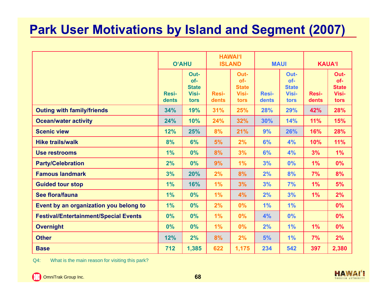## **Park User Motivations by Island and Segment (2007)**

|                                              |                       | <b>O'AHU</b>                                 |                       | <b>HAWAI'I</b><br><b>ISLAND</b>              | <b>MAUI</b>           |                                              | <b>KAUA'I</b>  |                                              |
|----------------------------------------------|-----------------------|----------------------------------------------|-----------------------|----------------------------------------------|-----------------------|----------------------------------------------|----------------|----------------------------------------------|
|                                              | <b>Resi-</b><br>dents | Out-<br>of-<br><b>State</b><br>Visi-<br>tors | <b>Resi-</b><br>dents | Out-<br>of-<br><b>State</b><br>Visi-<br>tors | <b>Resi-</b><br>dents | Out-<br>of-<br><b>State</b><br>Visi-<br>tors | Resi-<br>dents | Out-<br>of-<br><b>State</b><br>Visi-<br>tors |
| <b>Outing with family/friends</b>            | 34%                   | 19%                                          | 31%                   | 25%                                          | 28%                   | 29%                                          | 42%            | 28%                                          |
| <b>Ocean/water activity</b>                  | 24%                   | 10%                                          | 24%                   | 32%                                          | 30%                   | 14%                                          | 11%            | 15%                                          |
| <b>Scenic view</b>                           | 12%                   | 25%                                          | 8%                    | 21%                                          | 9%                    | 26%                                          | 16%            | 28%                                          |
| <b>Hike trails/walk</b>                      | 8%                    | 6%                                           | 5%                    | 2%                                           | 6%                    | 4%                                           | 10%            | 11%                                          |
| <b>Use restrooms</b>                         | 1%                    | 0%                                           | 8%                    | 3%                                           | 6%                    | 4%                                           | 3%             | 1%                                           |
| <b>Party/Celebration</b>                     | 2%                    | 0%                                           | 9%                    | 1%                                           | 3%                    | 0%                                           | 1%             | 0%                                           |
| <b>Famous landmark</b>                       | 3%                    | 20%                                          | 2%                    | 8%                                           | 2%                    | 8%                                           | 7%             | 8%                                           |
| <b>Guided tour stop</b>                      | 1%                    | 16%                                          | 1%                    | 3%                                           | 3%                    | 7%                                           | 1%             | 5%                                           |
| See flora/fauna                              | 1%                    | 0%                                           | 1%                    | 4%                                           | 2%                    | 3%                                           | $1\%$          | 2%                                           |
| Event by an organization you belong to       | 1%                    | 0%                                           | 2%                    | 0%                                           | 1%                    | 1%                                           |                | 0%                                           |
| <b>Festival/Entertainment/Special Events</b> | 0%                    | 0%                                           | 1%                    | 0%                                           | 4%                    | 0%                                           |                | 0%                                           |
| <b>Overnight</b>                             | 0%                    | 0%                                           | 1%                    | 0%                                           | 2%                    | 1%                                           | 1%             | 0%                                           |
| <b>Other</b>                                 | 12%                   | 2%                                           | 8%                    | 2%                                           | 5%                    | 1%                                           | 7%             | 2%                                           |
| <b>Base</b>                                  | 712                   | 1,385                                        | 622                   | 1,175                                        | 234                   | 542                                          | 397            | 2,380                                        |

Q4: What is the main reason for visiting this park?

**C.** OmniTrak Group Inc. **68** 

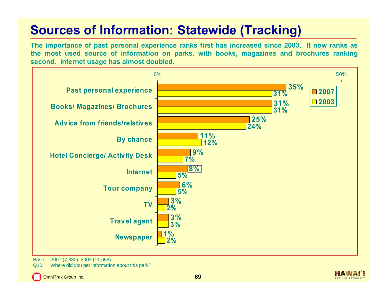## **Sources of Information: Statewide (Tracking)**

The importance of past personal experience ranks first has increased since 2003. It now ranks as the most used source of information on parks, with books, magazines and brochures ranking **second. Internet usage has almost doubled.**



Base: 2007 (7,330); 2003 (11,658)

Q10: Where did you get information about this park?



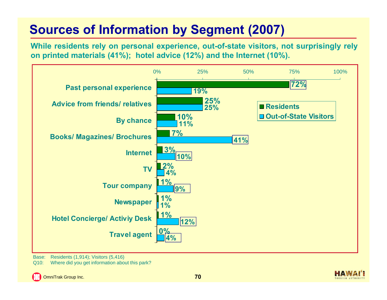## **Sources of Information by Segment (2007)**

While residents rely on personal experience, out-of-state visitors, not surprisingly rely **on printed materials (41%); hotel advice (12%) and the Internet (10%).**



Base: Residents (1,914); Visitors (5,416)

Q10: Where did you get information about this park?

OmniTrak Group Inc. **70**

TOURISM AUTHORIT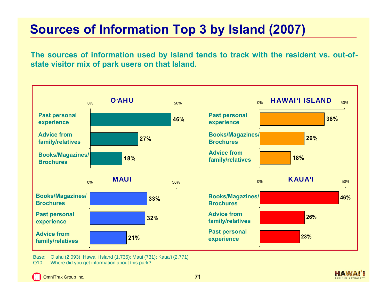## **Sources of Information Top 3 by Island (2007)**

The sources of information used by Island tends to track with the resident vs. out-of**state visitor mix of park users on that Island.**



Base: O'ahu (2,093); Hawai'i Island (1,735); Maui (731); Kaua'i (2,771) Q10: Where did you get information about this park?

COURISM AUTHORIT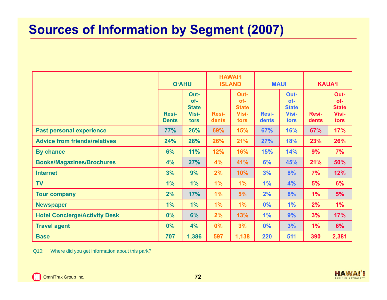#### **Sources of Information by Segment (2007)**

|                                      |                              | <b>O'AHU</b>                                 |                       | <b>HAWAI'I</b><br><b>ISLAND</b>              |                       | <b>MAUI</b>                                         |                       | <b>KAUA'I</b>                                |  |
|--------------------------------------|------------------------------|----------------------------------------------|-----------------------|----------------------------------------------|-----------------------|-----------------------------------------------------|-----------------------|----------------------------------------------|--|
|                                      | <b>Resi-</b><br><b>Dents</b> | Out-<br>of-<br><b>State</b><br>Visi-<br>tors | <b>Resi-</b><br>dents | Out-<br>of-<br><b>State</b><br>Visi-<br>tors | <b>Resi-</b><br>dents | Out-<br>of-<br><b>State</b><br><b>Visi-</b><br>tors | <b>Resi-</b><br>dents | Out-<br>of-<br><b>State</b><br>Visi-<br>tors |  |
| <b>Past personal experience</b>      | 77%                          | 26%                                          | 69%                   | 15%                                          | 67%                   | 16%                                                 | 67%                   | 17%                                          |  |
| <b>Advice from friends/relatives</b> | 24%                          | 28%                                          | 26%                   | 21%                                          | 27%                   | 18%                                                 | 23%                   | 26%                                          |  |
| <b>By chance</b>                     | 6%                           | 11%                                          | 12%                   | 16%                                          | <b>15%</b>            | 14%                                                 | 9%                    | 7%                                           |  |
| <b>Books/Magazines/Brochures</b>     | 4%                           | 27%                                          | 4%                    | 41%                                          | 6%                    | 45%                                                 | 21%                   | 50%                                          |  |
| <b>Internet</b>                      | 3%                           | 9%                                           | 2%                    | 10%                                          | 3%                    | 8%                                                  | 7%                    | 12%                                          |  |
| <b>TV</b>                            | 1%                           | 1%                                           | 1%                    | 1%                                           | 1%                    | 4%                                                  | 5%                    | 6%                                           |  |
| <b>Tour company</b>                  | 2%                           | 17%                                          | 1%                    | 5%                                           | 2%                    | 8%                                                  | 1%                    | 5%                                           |  |
| <b>Newspaper</b>                     | 1%                           | 1%                                           | 1%                    | 1%                                           | 0%                    | 1%                                                  | 2%                    | 1%                                           |  |
| <b>Hotel Concierge/Activity Desk</b> | 0%                           | 6%                                           | 2%                    | 13%                                          | 1%                    | 9%                                                  | 3%                    | 17%                                          |  |
| <b>Travel agent</b>                  | 0%                           | 4%                                           | 0%                    | 3%                                           | 0%                    | 3%                                                  | 1%                    | 6%                                           |  |
| <b>Base</b>                          | 707                          | 1,386                                        | 597                   | 1,138                                        | 220                   | 511                                                 | 390                   | 2,381                                        |  |

Q10: Where did you get information about this park?

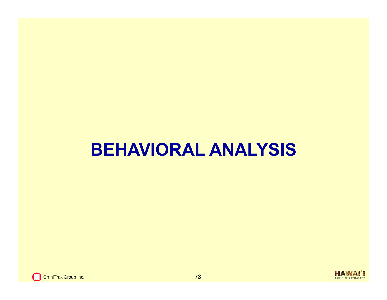# **BEHAVIORAL ANALYSIS**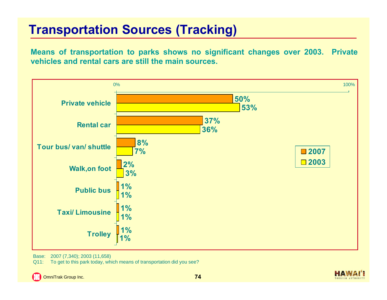#### **Transportation Sources (Tracking)**

Means of transportation to parks shows no significant changes over 2003. Private **vehicles and rental cars are still the main sources.**



Base: 2007 (7,340); 2003 (11,658)

Q11: To get to this park today, which means of transportation did you see?

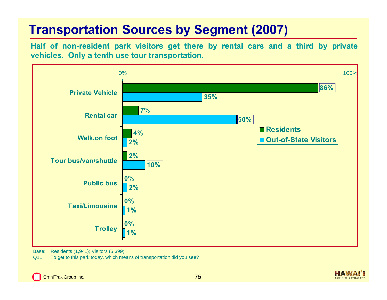# **Transportation Sources by Segment (2007)**

Half of non-resident park visitors get there by rental cars and a third by private **vehicles. Only <sup>a</sup> tenth use tour transportation.**



Base: Residents (1,941); Visitors (5,399)

Q11: To get to this park today, which means of transportation did you see?



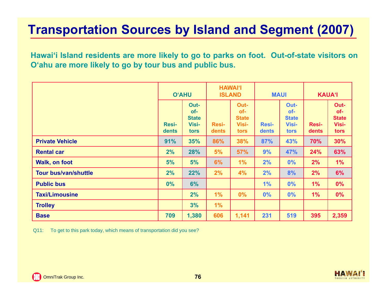### **Transportation Sources by Island and Segment (2007)**

Hawai'i Island residents are more likely to go to parks on foot. Out-of-state visitors on **O'ahu are more likely to go by tour bus and public bus.**

|                             | <b>O'AHU</b>          |                                              | <b>HAWAI'I</b><br><b>ISLAND</b> |                                              | <b>MAUI</b>           |                                                     | <b>KAUA'I</b>         |                                              |
|-----------------------------|-----------------------|----------------------------------------------|---------------------------------|----------------------------------------------|-----------------------|-----------------------------------------------------|-----------------------|----------------------------------------------|
|                             | <b>Resi-</b><br>dents | Out-<br>of-<br><b>State</b><br>Visi-<br>tors | <b>Resi-</b><br>dents           | Out-<br>of-<br><b>State</b><br>Visi-<br>tors | <b>Resi-</b><br>dents | Out-<br>of-<br><b>State</b><br><b>Visi-</b><br>tors | <b>Resi-</b><br>dents | Out-<br>of-<br><b>State</b><br>Visi-<br>tors |
| <b>Private Vehicle</b>      | 91%                   | 35%                                          | 86%                             | 38%                                          | 87%                   | 43%                                                 | 70%                   | 30%                                          |
| <b>Rental car</b>           | 2%                    | 28%                                          | 5%                              | 57%                                          | 9%                    | 47%                                                 | 24%                   | 63%                                          |
| Walk, on foot               | 5%                    | 5%                                           | 6%                              | 1%                                           | 2%                    | 0%                                                  | 2%                    | 1%                                           |
| <b>Tour bus/van/shuttle</b> | 2%                    | 22%                                          | 2%                              | 4%                                           | 2%                    | 8%                                                  | 2%                    | 6%                                           |
| <b>Public bus</b>           | $0\%$                 | 6%                                           |                                 |                                              | 1%                    | 0%                                                  | 1%                    | 0%                                           |
| <b>Taxi/Limousine</b>       |                       | 2%                                           | 1%                              | $0\%$                                        | 0%                    | 0%                                                  | 1%                    | 0%                                           |
| <b>Trolley</b>              |                       | 3%                                           | 1%                              |                                              |                       |                                                     |                       |                                              |
| <b>Base</b>                 | 709                   | 1,380                                        | 606                             | 1,141                                        | 231                   | 519                                                 | 395                   | 2,359                                        |

Q11: To get to this park today, which means of transportation did you see?

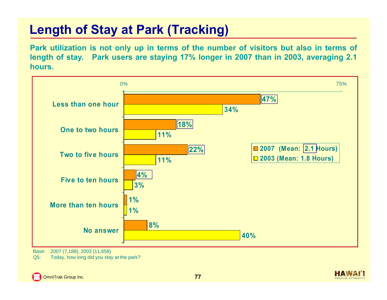### **Length of Stay at Park (Tracking)**

Park utilization is not only up in terms of the number of visitors but also in terms of length of stay. Park users are staying 17% longer in 2007 than in 2003, averaging 2.1 **hours.**



Base: 2007 (7,188); 2003 (11,658)

Q5: Today, how long did you stay at the park?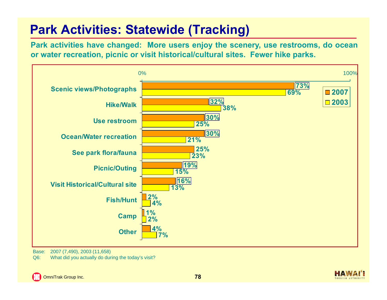# **Park Activities: Statewide (Tracking)**

Park activities have changed: More users enjoy the scenery, use restrooms, do ocean or water recreation, picnic or visit historical/cultural sites. Fewer hike parks.



Base: 2007 (7,490), 2003 (11,658)

Q6: What did you actually do during the today's visit?

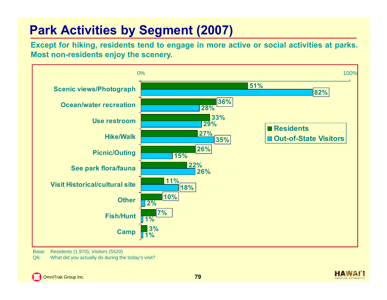# **Park Activities by Segment (2007)**

Except for hiking, residents tend to engage in more active or social activities at parks. **Most non-residents enjoy the scenery.**



Base: Residents (1,970); Visitors (5520)

Q6: What did you actually do during the today's visit?

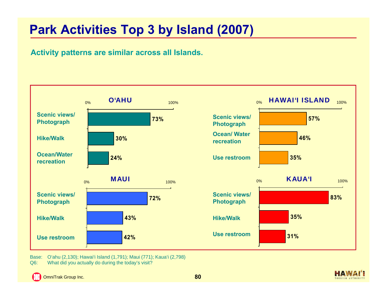### **Park Activities Top 3 by Island (2007)**

#### **Activity patterns are similar across all Islands.**



Base: O'ahu (2,130); Hawai'i Island (1,791); Maui (771); Kaua'i (2,798) Q6: What did you actually do during the today's visit?

E3 OmniTrak Group Inc. **80** **HAWAI** 

TOURISM AUTHORIT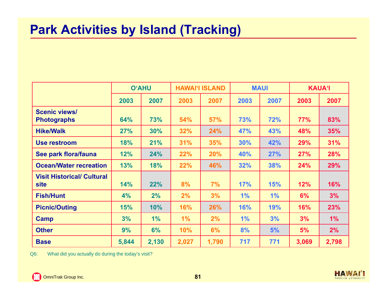#### **Park Activities by Island (Tracking)**

|                                                  | <b>O'AHU</b> |       |       | <b>HAWAI'I ISLAND</b> | <b>MAUI</b> |            | <b>KAUA'I</b> |       |
|--------------------------------------------------|--------------|-------|-------|-----------------------|-------------|------------|---------------|-------|
|                                                  | 2003         | 2007  | 2003  | 2007                  | 2003        | 2007       | 2003          | 2007  |
| <b>Scenic views/</b><br><b>Photographs</b>       | 64%          | 73%   | 54%   | <b>57%</b>            | 73%         | 72%        | 77%           | 83%   |
| <b>Hike/Walk</b>                                 | 27%          | 30%   | 32%   | 24%                   | 47%         | 43%        | 48%           | 35%   |
| Use restroom                                     | 18%          | 21%   | 31%   | 35%                   | 30%         | 42%        | 29%           | 31%   |
| See park flora/fauna                             | 12%          | 24%   | 22%   | 20%                   | 40%         | 27%        | 27%           | 28%   |
| <b>Ocean/Water recreation</b>                    | 13%          | 18%   | 22%   | 46%                   | 32%         | 38%        | 24%           | 29%   |
| <b>Visit Historical/ Cultural</b><br><b>site</b> | 14%          | 22%   | 8%    | 7%                    | 17%         | <b>15%</b> | 12%           | 16%   |
| <b>Fish/Hunt</b>                                 | 4%           | 2%    | 2%    | 3%                    | 1%          | 1%         | 6%            | 3%    |
| <b>Picnic/Outing</b>                             | 15%          | 10%   | 16%   | 26%                   | 16%         | 19%        | 16%           | 23%   |
| Camp                                             | 3%           | 1%    | 1%    | 2%                    | 1%          | 3%         | 3%            | 1%    |
| <b>Other</b>                                     | 9%           | 6%    | 10%   | 6%                    | 8%          | 5%         | 5%            | 2%    |
| <b>Base</b>                                      | 5,844        | 2,130 | 2,027 | 1,790                 | 717         | 771        | 3,069         | 2,798 |

Q6: What did you actually do during the today's visit?

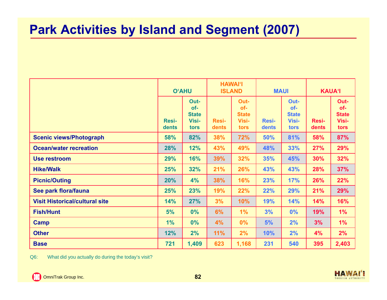#### **Park Activities by Island and Segment (2007)**

|                                       |                       | <b>O'AHU</b>                                        |                       | <b>HAWAI'I</b><br><b>ISLAND</b>              |                       | <b>MAUI</b>                                         |                       | <b>KAUA'I</b>                                |  |
|---------------------------------------|-----------------------|-----------------------------------------------------|-----------------------|----------------------------------------------|-----------------------|-----------------------------------------------------|-----------------------|----------------------------------------------|--|
|                                       | <b>Resi-</b><br>dents | Out-<br>of-<br><b>State</b><br><b>Visi-</b><br>tors | <b>Resi-</b><br>dents | Out-<br>of-<br><b>State</b><br>Visi-<br>tors | <b>Resi-</b><br>dents | Out-<br>of-<br><b>State</b><br><b>Visi-</b><br>tors | <b>Resi-</b><br>dents | Out-<br>of-<br><b>State</b><br>Visi-<br>tors |  |
| <b>Scenic views/Photograph</b>        | 58%                   | 82%                                                 | 38%                   | 72%                                          | 50%                   | 81%                                                 | 58%                   | 87%                                          |  |
| <b>Ocean/water recreation</b>         | 28%                   | 12%                                                 | 43%                   | 49%                                          | 48%                   | 33%                                                 | <b>27%</b>            | 29%                                          |  |
| <b>Use restroom</b>                   | 29%                   | 16%                                                 | 39%                   | 32%                                          | 35%                   | 45%                                                 | 30%                   | 32%                                          |  |
| <b>Hike/Walk</b>                      | 25%                   | 32%                                                 | 21%                   | 26%                                          | 43%                   | 43%                                                 | 28%                   | 37%                                          |  |
| <b>Picnic/Outing</b>                  | 20%                   | 4%                                                  | 38%                   | 16%                                          | 23%                   | 17%                                                 | 26%                   | 22%                                          |  |
| See park flora/fauna                  | 25%                   | 23%                                                 | 19%                   | 22%                                          | 22%                   | 29%                                                 | 21%                   | 29%                                          |  |
| <b>Visit Historical/cultural site</b> | 14%                   | 27%                                                 | 3%                    | 10%                                          | 19%                   | 14%                                                 | 14%                   | 16%                                          |  |
| <b>Fish/Hunt</b>                      | 5%                    | 0%                                                  | 6%                    | 1%                                           | 3%                    | 0%                                                  | 19%                   | 1%                                           |  |
| <b>Camp</b>                           | 1%                    | 0%                                                  | 4%                    | 0%                                           | 5%                    | 2%                                                  | 3%                    | 1%                                           |  |
| <b>Other</b>                          | 12%                   | 2%                                                  | 11%                   | 2%                                           | 10%                   | 2%                                                  | 4%                    | 2%                                           |  |
| <b>Base</b>                           | 721                   | 1,409                                               | 623                   | 1,168                                        | 231                   | 540                                                 | 395                   | 2,403                                        |  |

Q6: What did you actually do during the today's visit?

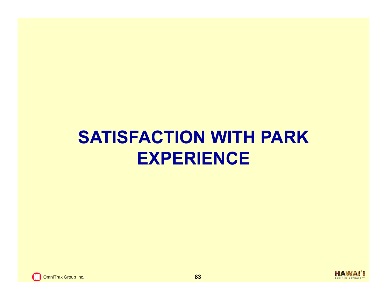# **SATISFACTION WITH PARK EXPERIENCE**

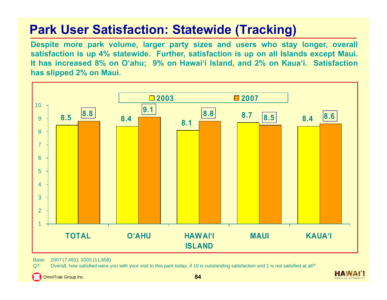# **Park User Satisfaction: Statewide (Tracking)**

Despite more park volume, larger party sizes and users who stay longer, overall satisfaction is up 4% statewide. Further, satisfaction is up on all Islands except Maui. It has increased 8% on O'ahu; 9% on Hawai'i Island, and 2% on Kaua'i. Satisfaction **has slipped 2% on Maui.**



Base: 2007 (7,491); 2003 (11,658)

Q7: Overall, how satisfied were you with your visit to this park today, if 10 is outstanding satisfaction and 1 is not satisfied at all?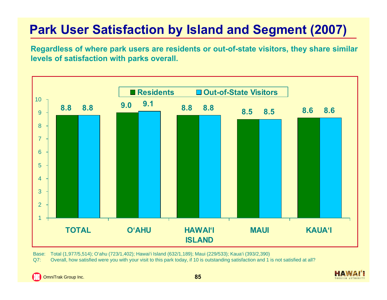# **Park User Satisfaction by Island and Segment (2007)**

Regardless of where park users are residents or out-of-state visitors, they share similar **levels of satisfaction with parks overall.**



Base: Total (1,977/5,514); O'ahu (723/1,402); Hawai'i Island (632/1,189); Maui (229/533); Kaua'i (393/2,390)

Q7: Overall, how satisfied were you with your visit to this park today, if 10 is outstanding satisfaction and 1 is not satisfied at all?

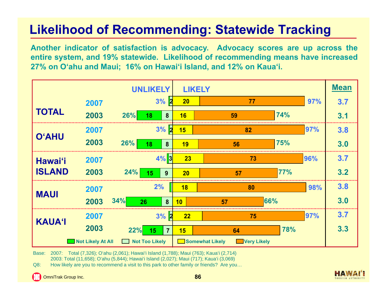# **Likelihood of Recommending: Statewide Tracking**

Another indicator of satisfaction is advocacy. Advocacy scores are up across the entire system, and 19% statewide. Likelihood of recommending means have increased 27% on O'ahu and Maui; 16% on Hawai'i Island, and 12% on Kaua'i.

|                |                   | <b>UNLIKELY</b>                                            | <b>LIKELY</b>     |                                              |     |     | <b>Mean</b> |
|----------------|-------------------|------------------------------------------------------------|-------------------|----------------------------------------------|-----|-----|-------------|
|                | 2007              | 3%                                                         | $ {\bf z} $<br>20 | 77                                           |     | 97% | 3.7         |
| <b>TOTAL</b>   | 2003              | 26%<br>8<br><b>18</b>                                      | 16                | 59                                           | 74% |     | 3.1         |
| <b>O'AHU</b>   | 2007              | $3%$ 2                                                     | 15                | 82                                           |     | 97% | 3.8         |
|                | 2003              | 26%<br>8<br>18                                             | 19                | 56                                           | 75% |     | 3.0         |
| <b>Hawai'i</b> | 2007              | $4%$ 3                                                     | 23                | 73                                           |     | 96% | 3.7         |
| <b>ISLAND</b>  | 2003              | 24%<br>15<br>9                                             | 20                | 57                                           | 77% |     | 3.2         |
| <b>MAUI</b>    | 2007              | 2%                                                         | 18                | 80                                           |     | 98% | 3.8         |
|                | 2003              | 34%<br>8<br>26                                             | 10                | 57                                           | 66% |     | 3.0         |
| <b>KAUA'l</b>  | 2007              | $3%$ 2                                                     | 22                | 75                                           |     | 97% | 3.7         |
|                | 2003              | 22%<br>15<br>$\overline{7}$                                | 15                | 64                                           | 78% |     | 3.3         |
|                | Not Likely At All | <b>Not Too Likely</b><br>$\mathcal{L} \subset \mathcal{L}$ |                   | <b>Somewhat Likely</b><br><b>Very Likely</b> |     |     |             |

Base: 2007: Total (7,326); O'ahu (2,061); Hawai'i Island (1,788); Maui (763); Kaua'i (2,714) 2003: Total (11,658); O'ahu (5,844); Hawai'i Island (2,027); Maui (717); Kaua'i (3,069)

Q8: How likely are you to recommend a visit to this park to other family or friends? Are you…

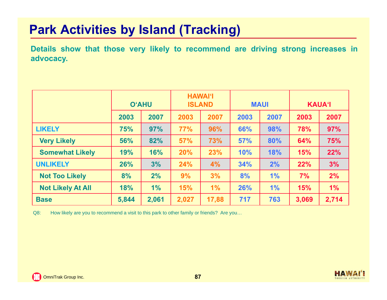### **Park Activities by Island (Tracking)**

Details show that those very likely to recommend are driving strong increases in **advocacy.**

|                          | <b>O'AHU</b> |       |       | <b>HAWAI'I</b><br><b>ISLAND</b> |      | <b>MAUI</b> |       | <b>KAUA'I</b> |  |
|--------------------------|--------------|-------|-------|---------------------------------|------|-------------|-------|---------------|--|
|                          | 2003         | 2007  | 2003  | 2007                            | 2003 | 2007        | 2003  | 2007          |  |
| <b>LIKELY</b>            | <b>75%</b>   | 97%   | 77%   | 96%                             | 66%  | 98%         | 78%   | 97%           |  |
| <b>Very Likely</b>       | 56%          | 82%   | 57%   | 73%                             | 57%  | 80%         | 64%   | 75%           |  |
| <b>Somewhat Likely</b>   | 19%          | 16%   | 20%   | 23%                             | 10%  | 18%         | 15%   | 22%           |  |
| <b>UNLIKELY</b>          | 26%          | 3%    | 24%   | 4%                              | 34%  | 2%          | 22%   | 3%            |  |
| <b>Not Too Likely</b>    | 8%           | 2%    | 9%    | 3%                              | 8%   | 1%          | 7%    | 2%            |  |
| <b>Not Likely At All</b> | 18%          | $1\%$ | 15%   | $1\%$                           | 26%  | 1%          | 15%   | 1%            |  |
| <b>Base</b>              | 5,844        | 2,061 | 2,027 | 17,88                           | 717  | 763         | 3,069 | 2,714         |  |

Q8: How likely are you to recommend a visit to this park to other family or friends? Are you...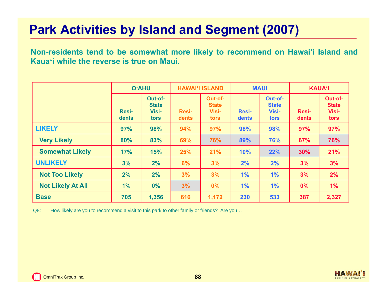### **Park Activities by Island and Segment (2007)**

Non-residents tend to be somewhat more likely to recommend on Hawai'i Island and **Kaua'i while the reverse is true on Maui.**

|                          | <b>O'AHU</b>          |                                                 |                       | <b>HAWAI'I ISLAND</b>                    |                       | <b>MAUI</b>                                     | <b>KAUA'I</b>         |                                          |
|--------------------------|-----------------------|-------------------------------------------------|-----------------------|------------------------------------------|-----------------------|-------------------------------------------------|-----------------------|------------------------------------------|
|                          | <b>Resi-</b><br>dents | Out-of-<br><b>State</b><br><b>Visi-</b><br>tors | <b>Resi-</b><br>dents | Out-of-<br><b>State</b><br>Visi-<br>tors | <b>Resi-</b><br>dents | Out-of-<br><b>State</b><br><b>Visi-</b><br>tors | <b>Resi-</b><br>dents | Out-of-<br><b>State</b><br>Visi-<br>tors |
| <b>LIKELY</b>            | 97%                   | 98%                                             | 94%                   | 97%                                      | 98%                   | 98%                                             | 97%                   | 97%                                      |
| <b>Very Likely</b>       | 80%                   | 83%                                             | 69%                   | 76%                                      | 89%                   | 76%                                             | 67%                   | 76%                                      |
| <b>Somewhat Likely</b>   | 17%                   | 15%                                             | 25%                   | 21%                                      | 10%                   | 22%                                             | 30%                   | 21%                                      |
| <b>UNLIKELY</b>          | 3%                    | 2%                                              | 6%                    | 3%                                       | 2%                    | 2%                                              | 3%                    | 3%                                       |
| <b>Not Too Likely</b>    | 2%                    | 2%                                              | 3%                    | 3%                                       | 1%                    | 1%                                              | 3%                    | 2%                                       |
| <b>Not Likely At All</b> | 1%                    | 0%                                              | 3%                    | $0\%$                                    | 1%                    | 1%                                              | $0\%$                 | 1%                                       |
| <b>Base</b>              | 705                   | 1,356                                           | 616                   | 1,172                                    | 230                   | 533                                             | 387                   | 2,327                                    |

Q8: How likely are you to recommend a visit to this park to other family or friends? Are you...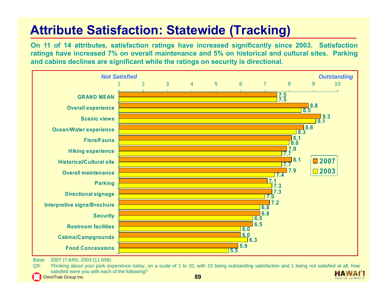# **Attribute Satisfaction: Statewide (Tracking)**

On 11 of 14 attributes, satisfaction ratings have increased significantly since 2003. Satisfaction ratings have increased 7% on overall maintenance and 5% on historical and cultural sites. Parking and cabins declines are significant while the ratings on security is directional.



Base: 2007 (7,645); 2003 (11,658)

Q9: Thinking about your park experience today, on <sup>a</sup> scale of 1 to 10, with 10 being outstanding satisfaction and 1 being not satisfied at all, how satisfied were you with each of the following? HAW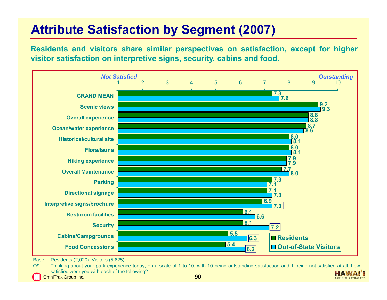# **Attribute Satisfaction by Segment (2007)**

Residents and visitors share similar perspectives on satisfaction, except for higher **visitor satisfaction on interpretive signs, security, cabins and food.**



Base: Residents (2,020); Visitors (5,625)

Q9: Thinking about your park experience today, on <sup>a</sup> scale of 1 to 10, with 10 being outstanding satisfaction and 1 being not satisfied at all, how satisfied were you with each of the following? **HAW** OmniTrak Group Inc. **90**

TOURISM AUTHORIT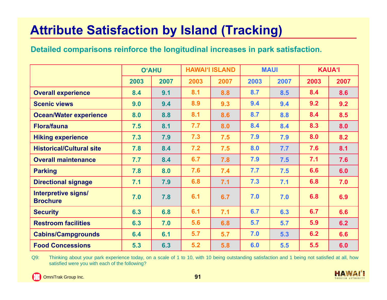# **Attribute Satisfaction by Island (Tracking)**

#### **Detailed comparisons reinforce the longitudinal increases in park satisfaction.**

|                                        | <b>O'AHU</b> |      |      | <b>HAWAI'I ISLAND</b> | <b>MAUI</b> |      | <b>KAUA'I</b> |      |
|----------------------------------------|--------------|------|------|-----------------------|-------------|------|---------------|------|
|                                        | 2003         | 2007 | 2003 | 2007                  | 2003        | 2007 | 2003          | 2007 |
| <b>Overall experience</b>              | 8.4          | 9.1  | 8.1  | 8.8                   | 8.7         | 8.5  | 8.4           | 8.6  |
| <b>Scenic views</b>                    | 9.0          | 9.4  | 8.9  | 9.3                   | 9.4         | 9.4  | 9.2           | 9.2  |
| <b>Ocean/Water experience</b>          | 8.0          | 8.8  | 8.1  | 8.6                   | 8.7         | 8.8  | 8.4           | 8.5  |
| <b>Flora/fauna</b>                     | 7.5          | 8.1  | 7.7  | 8.0                   | 8.4         | 8.4  | 8.3           | 8.0  |
| <b>Hiking experience</b>               | 7.3          | 7.9  | 7.3  | 7.5                   | 7.9         | 7.9  | 8.0           | 8.2  |
| <b>Historical/Cultural site</b>        | 7.8          | 8.4  | 7.2  | 7.5                   | 8.0         | 7.7  | 7.6           | 8.1  |
| <b>Overall maintenance</b>             | 7.7          | 8.4  | 6.7  | 7.8                   | 7.9         | 7.5  | 7.1           | 7.6  |
| <b>Parking</b>                         | 7.8          | 8.0  | 7.6  | 7.4                   | 7.7         | 7.5  | 6.6           | 6.0  |
| <b>Directional signage</b>             | 7.1          | 7.9  | 6.8  | 7.1                   | 7.3         | 7.1  | 6.8           | 7.0  |
| Interpretive signs/<br><b>Brochure</b> | 7.0          | 7.8  | 6.1  | 6.7                   | 7.0         | 7.0  | 6.8           | 6.9  |
| <b>Security</b>                        | 6.3          | 6.8  | 6.1  | 7.1                   | 6.7         | 6.3  | 6.7           | 6.6  |
| <b>Restroom facilities</b>             | 6.3          | 7.0  | 5.6  | 6.8                   | 5.7         | 5.7  | 5.9           | 6.2  |
| <b>Cabins/Campgrounds</b>              | 6.4          | 6.1  | 5.7  | 5.7                   | 7.0         | 5.3  | 6.2           | 6.6  |
| <b>Food Concessions</b>                | 5.3          | 6.3  | 5.2  | 5.8                   | 6.0         | 5.5  | 5.5           | 6.0  |

Q9: Thinking about your park experience today, on <sup>a</sup> scale of 1 to 10, with 10 being outstanding satisfaction and 1 being not satisfied at all, how satisfied were you with each of the following?



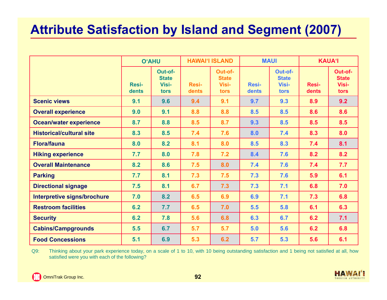### **Attribute Satisfaction by Island and Segment (2007)**

|                                    | <b>O'AHU</b>          |                                          |                | <b>HAWAI'I ISLAND</b>                    |                       | <b>MAUI</b>                              | <b>KAUA'I</b>  |                                          |
|------------------------------------|-----------------------|------------------------------------------|----------------|------------------------------------------|-----------------------|------------------------------------------|----------------|------------------------------------------|
|                                    | <b>Resi-</b><br>dents | Out-of-<br><b>State</b><br>Visi-<br>tors | Resi-<br>dents | Out-of-<br><b>State</b><br>Visi-<br>tors | <b>Resi-</b><br>dents | Out-of-<br><b>State</b><br>Visi-<br>tors | Resi-<br>dents | Out-of-<br><b>State</b><br>Visi-<br>tors |
| <b>Scenic views</b>                | 9.1                   | 9.6                                      | 9.4            | 9.1                                      | 9.7                   | 9.3                                      | 8.9            | 9.2                                      |
| <b>Overall experience</b>          | 9.0                   | 9.1                                      | 8.8            | 8.8                                      | 8.5                   | 8.5                                      | 8.6            | 8.6                                      |
| <b>Ocean/water experience</b>      | 8.7                   | 8.8                                      | 8.5            | 8.7                                      | 9.3                   | 8.5                                      | 8.5            | 8.5                                      |
| <b>Historical/cultural site</b>    | 8.3                   | 8.5                                      | 7.4            | 7.6                                      | 8.0                   | 7.4                                      | 8.3            | 8.0                                      |
| <b>Flora/fauna</b>                 | 8.0                   | 8.2                                      | 8.1            | 8.0                                      | 8.5                   | 8.3                                      | 7.4            | 8.1                                      |
| <b>Hiking experience</b>           | 7.7                   | 8.0                                      | 7.8            | 7.2                                      | 8.4                   | 7.6                                      | 8.2            | 8.2                                      |
| <b>Overall Maintenance</b>         | 8.2                   | 8.6                                      | 7.5            | 8.0                                      | 7.4                   | 7.6                                      | 7.4            | 7.7                                      |
| <b>Parking</b>                     | 7.7                   | 8.1                                      | 7.3            | 7.5                                      | 7.3                   | 7.6                                      | 5.9            | 6.1                                      |
| <b>Directional signage</b>         | 7.5                   | 8.1                                      | 6.7            | 7.3                                      | 7.3                   | 7.1                                      | 6.8            | 7.0                                      |
| <b>Interpretive signs/brochure</b> | 7.0                   | 8.2                                      | 6.5            | 6.9                                      | 6.9                   | 7.1                                      | 7.3            | 6.8                                      |
| <b>Restroom facilities</b>         | 6.2                   | 7.7                                      | 6.5            | 7.0                                      | 5.5                   | 5.8                                      | 6.1            | 6.3                                      |
| <b>Security</b>                    | 6.2                   | 7.8                                      | 5.6            | 6.8                                      | 6.3                   | 6.7                                      | 6.2            | 7.1                                      |
| <b>Cabins/Campgrounds</b>          | 5.5                   | 6.7                                      | 5.7            | 5.7                                      | 5.0                   | 5.6                                      | 6.2            | 6.8                                      |
| <b>Food Concessions</b>            | 5.1                   | 6.9                                      | 5.3            | 6.2                                      | 5.7                   | 5.3                                      | 5.6            | 6.1                                      |

Q9: Thinking about your park experience today, on a scale of 1 to 10, with 10 being outstanding satisfaction and 1 being not satisfied at all, how satisfied were you with each of the following?

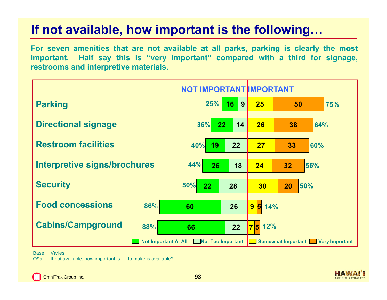For seven amenities that are not available at all parks, parking is clearly the most important. Half say this is "very important" compared with a third for signage, **restrooms and interpretive materials.**



Base: Varies

Q9a. If not available, how important is \_to make is available?

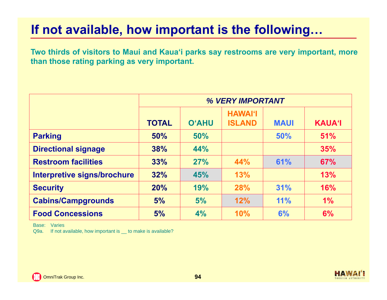Two thirds of visitors to Maui and Kaua'i parks say restrooms are very important, more **than those rating parking as very important.**

|                             |              |              | <b>% VERY IMPORTANT</b>         |             |               |
|-----------------------------|--------------|--------------|---------------------------------|-------------|---------------|
|                             | <b>TOTAL</b> | <b>O'AHU</b> | <b>HAWAI'I</b><br><b>ISLAND</b> | <b>MAUI</b> | <b>KAUA'I</b> |
| <b>Parking</b>              | 50%          | 50%          |                                 | 50%         | 51%           |
| <b>Directional signage</b>  | 38%          | 44%          |                                 |             | 35%           |
| <b>Restroom facilities</b>  | 33%          | 27%          | 44%                             | 61%         | 67%           |
| Interpretive signs/brochure | 32%          | 45%          | 13%                             |             | 13%           |
| <b>Security</b>             | 20%          | 19%          | <b>28%</b>                      | 31%         | 16%           |
| <b>Cabins/Campgrounds</b>   | 5%           | 5%           | 12%                             | 11%         | $1\%$         |
| <b>Food Concessions</b>     | 5%           | 4%           | <b>10%</b>                      | 6%          | 6%            |

Base: Varies

Q9a. If not available, how important is to make is available?

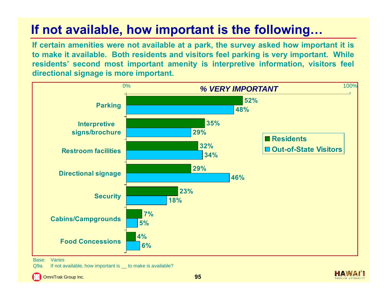If certain amenities were not available at a park, the survey asked how important it is to make it available. Both residents and visitors feel parking is very important. While **residents' second most important amenity is interpretive information, visitors feel directional signage is more important.**



Base: Varies

Q9a. If not available, how important is to make is available?

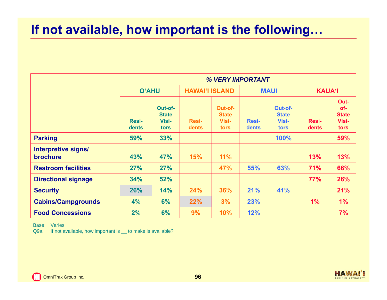|                                        |                       | % VERY IMPORTANT                         |                       |                                          |                       |                                          |                       |                                              |  |  |  |  |
|----------------------------------------|-----------------------|------------------------------------------|-----------------------|------------------------------------------|-----------------------|------------------------------------------|-----------------------|----------------------------------------------|--|--|--|--|
|                                        | <b>O'AHU</b>          |                                          |                       | <b>HAWAI'I ISLAND</b>                    |                       | <b>MAUI</b>                              |                       | <b>KAUA'I</b>                                |  |  |  |  |
|                                        | <b>Resi-</b><br>dents | Out-of-<br><b>State</b><br>Visi-<br>tors | <b>Resi-</b><br>dents | Out-of-<br><b>State</b><br>Visi-<br>tors | <b>Resi-</b><br>dents | Out-of-<br><b>State</b><br>Visi-<br>tors | <b>Resi-</b><br>dents | Out-<br>of-<br><b>State</b><br>Visi-<br>tors |  |  |  |  |
| <b>Parking</b>                         | 59%                   | 33%                                      |                       |                                          |                       | 100%                                     |                       | 59%                                          |  |  |  |  |
| Interpretive signs/<br><b>brochure</b> | 43%                   | 47%                                      | <b>15%</b>            | 11%                                      |                       |                                          | 13%                   | 13%                                          |  |  |  |  |
| <b>Restroom facilities</b>             | 27%                   | 27%                                      |                       | 47%                                      | 55%                   | 63%                                      | 71%                   | 66%                                          |  |  |  |  |
| <b>Directional signage</b>             | 34%                   | 52%                                      |                       |                                          |                       |                                          | 77%                   | 26%                                          |  |  |  |  |
| <b>Security</b>                        | 26%                   | 14%                                      | 24%                   | 36%                                      | 21%                   | 41%                                      |                       | 21%                                          |  |  |  |  |
| <b>Cabins/Campgrounds</b>              | 4%                    | 6%                                       | 22%                   | 3%                                       | 23%                   |                                          | 1%                    | 1%                                           |  |  |  |  |
| <b>Food Concessions</b>                | 2%                    | 6%                                       | 9%                    | 10%                                      | 12%                   |                                          |                       | 7%                                           |  |  |  |  |

Base: Varies

Q9a. If not available, how important is \_ to make is available?

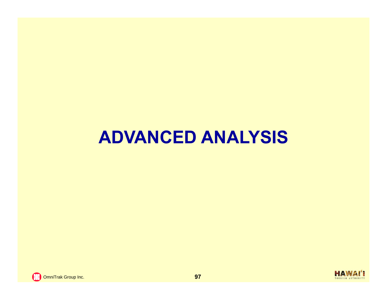# **ADVANCED ANALYSIS**